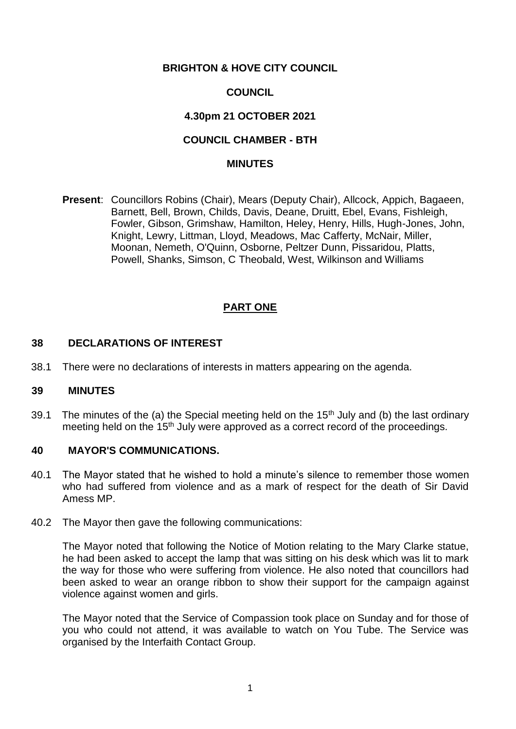# **BRIGHTON & HOVE CITY COUNCIL**

# **COUNCIL**

# **4.30pm 21 OCTOBER 2021**

# **COUNCIL CHAMBER - BTH**

#### **MINUTES**

**Present**: Councillors Robins (Chair), Mears (Deputy Chair), Allcock, Appich, Bagaeen, Barnett, Bell, Brown, Childs, Davis, Deane, Druitt, Ebel, Evans, Fishleigh, Fowler, Gibson, Grimshaw, Hamilton, Heley, Henry, Hills, Hugh-Jones, John, Knight, Lewry, Littman, Lloyd, Meadows, Mac Cafferty, McNair, Miller, Moonan, Nemeth, O'Quinn, Osborne, Peltzer Dunn, Pissaridou, Platts, Powell, Shanks, Simson, C Theobald, West, Wilkinson and Williams

# **PART ONE**

# **38 DECLARATIONS OF INTEREST**

38.1 There were no declarations of interests in matters appearing on the agenda.

# **39 MINUTES**

39.1 The minutes of the (a) the Special meeting held on the  $15<sup>th</sup>$  July and (b) the last ordinary meeting held on the 15<sup>th</sup> July were approved as a correct record of the proceedings.

# **40 MAYOR'S COMMUNICATIONS.**

- 40.1 The Mayor stated that he wished to hold a minute's silence to remember those women who had suffered from violence and as a mark of respect for the death of Sir David Amess MP.
- 40.2 The Mayor then gave the following communications:

The Mayor noted that following the Notice of Motion relating to the Mary Clarke statue, he had been asked to accept the lamp that was sitting on his desk which was lit to mark the way for those who were suffering from violence. He also noted that councillors had been asked to wear an orange ribbon to show their support for the campaign against violence against women and girls.

The Mayor noted that the Service of Compassion took place on Sunday and for those of you who could not attend, it was available to watch on You Tube. The Service was organised by the Interfaith Contact Group.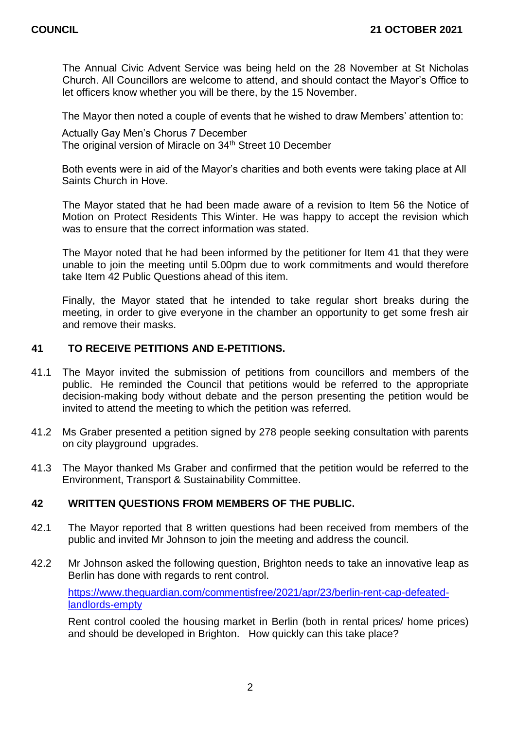The Annual Civic Advent Service was being held on the 28 November at St Nicholas Church. All Councillors are welcome to attend, and should contact the Mayor's Office to let officers know whether you will be there, by the 15 November.

The Mayor then noted a couple of events that he wished to draw Members' attention to:

Actually Gay Men's Chorus 7 December The original version of Miracle on 34<sup>th</sup> Street 10 December

Both events were in aid of the Mayor's charities and both events were taking place at All Saints Church in Hove.

The Mayor stated that he had been made aware of a revision to Item 56 the Notice of Motion on Protect Residents This Winter. He was happy to accept the revision which was to ensure that the correct information was stated.

The Mayor noted that he had been informed by the petitioner for Item 41 that they were unable to join the meeting until 5.00pm due to work commitments and would therefore take Item 42 Public Questions ahead of this item.

Finally, the Mayor stated that he intended to take regular short breaks during the meeting, in order to give everyone in the chamber an opportunity to get some fresh air and remove their masks.

# **41 TO RECEIVE PETITIONS AND E-PETITIONS.**

- 41.1 The Mayor invited the submission of petitions from councillors and members of the public. He reminded the Council that petitions would be referred to the appropriate decision-making body without debate and the person presenting the petition would be invited to attend the meeting to which the petition was referred.
- 41.2 Ms Graber presented a petition signed by 278 people seeking consultation with parents on city playground upgrades.
- 41.3 The Mayor thanked Ms Graber and confirmed that the petition would be referred to the Environment, Transport & Sustainability Committee.

# **42 WRITTEN QUESTIONS FROM MEMBERS OF THE PUBLIC.**

- 42.1 The Mayor reported that 8 written questions had been received from members of the public and invited Mr Johnson to join the meeting and address the council.
- 42.2 Mr Johnson asked the following question, Brighton needs to take an innovative leap as Berlin has done with regards to rent control.

[https://www.theguardian.com/commentisfree/2021/apr/23/berlin-rent-cap-defeated](https://www.theguardian.com/commentisfree/2021/apr/23/berlin-rent-cap-defeated-landlords-empty)[landlords-empty](https://www.theguardian.com/commentisfree/2021/apr/23/berlin-rent-cap-defeated-landlords-empty)

Rent control cooled the housing market in Berlin (both in rental prices/ home prices) and should be developed in Brighton. How quickly can this take place?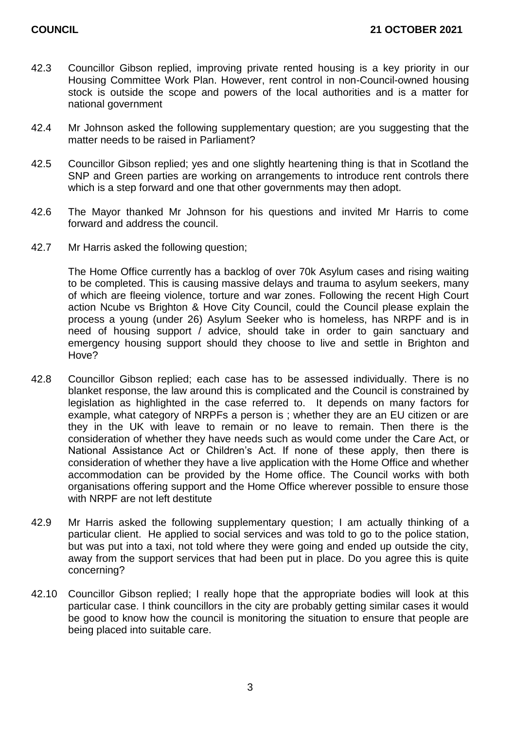- 42.3 Councillor Gibson replied, improving private rented housing is a key priority in our Housing Committee Work Plan. However, rent control in non-Council-owned housing stock is outside the scope and powers of the local authorities and is a matter for national government
- 42.4 Mr Johnson asked the following supplementary question; are you suggesting that the matter needs to be raised in Parliament?
- 42.5 Councillor Gibson replied; yes and one slightly heartening thing is that in Scotland the SNP and Green parties are working on arrangements to introduce rent controls there which is a step forward and one that other governments may then adopt.
- 42.6 The Mayor thanked Mr Johnson for his questions and invited Mr Harris to come forward and address the council.
- 42.7 Mr Harris asked the following question;

The Home Office currently has a backlog of over 70k Asylum cases and rising waiting to be completed. This is causing massive delays and trauma to asylum seekers, many of which are fleeing violence, torture and war zones. Following the recent High Court action Ncube vs Brighton & Hove City Council, could the Council please explain the process a young (under 26) Asylum Seeker who is homeless, has NRPF and is in need of housing support / advice, should take in order to gain sanctuary and emergency housing support should they choose to live and settle in Brighton and Hove?

- 42.8 Councillor Gibson replied; each case has to be assessed individually. There is no blanket response, the law around this is complicated and the Council is constrained by legislation as highlighted in the case referred to. It depends on many factors for example, what category of NRPFs a person is ; whether they are an EU citizen or are they in the UK with leave to remain or no leave to remain. Then there is the consideration of whether they have needs such as would come under the Care Act, or National Assistance Act or Children's Act. If none of these apply, then there is consideration of whether they have a live application with the Home Office and whether accommodation can be provided by the Home office. The Council works with both organisations offering support and the Home Office wherever possible to ensure those with NRPF are not left destitute
- 42.9 Mr Harris asked the following supplementary question; I am actually thinking of a particular client. He applied to social services and was told to go to the police station, but was put into a taxi, not told where they were going and ended up outside the city, away from the support services that had been put in place. Do you agree this is quite concerning?
- 42.10 Councillor Gibson replied; I really hope that the appropriate bodies will look at this particular case. I think councillors in the city are probably getting similar cases it would be good to know how the council is monitoring the situation to ensure that people are being placed into suitable care.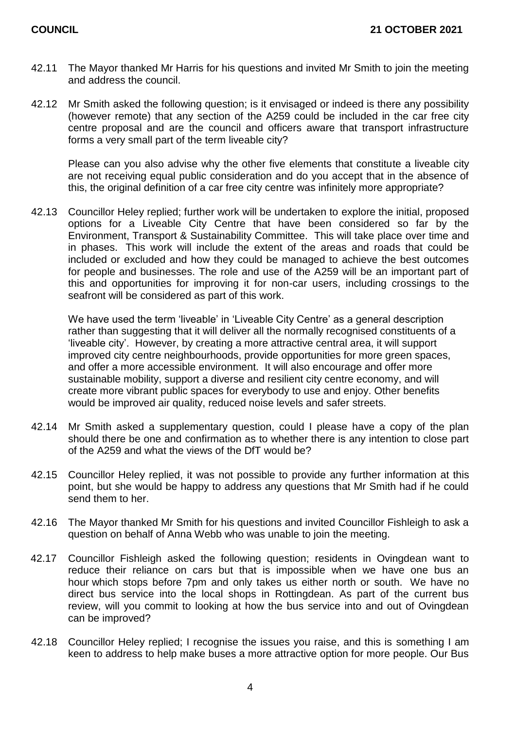- 42.11 The Mayor thanked Mr Harris for his questions and invited Mr Smith to join the meeting and address the council.
- 42.12 Mr Smith asked the following question; is it envisaged or indeed is there any possibility (however remote) that any section of the A259 could be included in the car free city centre proposal and are the council and officers aware that transport infrastructure forms a very small part of the term liveable city?

Please can you also advise why the other five elements that constitute a liveable city are not receiving equal public consideration and do you accept that in the absence of this, the original definition of a car free city centre was infinitely more appropriate?

42.13 Councillor Heley replied; further work will be undertaken to explore the initial, proposed options for a Liveable City Centre that have been considered so far by the Environment, Transport & Sustainability Committee. This will take place over time and in phases. This work will include the extent of the areas and roads that could be included or excluded and how they could be managed to achieve the best outcomes for people and businesses. The role and use of the A259 will be an important part of this and opportunities for improving it for non-car users, including crossings to the seafront will be considered as part of this work.

We have used the term 'liveable' in 'Liveable City Centre' as a general description rather than suggesting that it will deliver all the normally recognised constituents of a 'liveable city'. However, by creating a more attractive central area, it will support improved city centre neighbourhoods, provide opportunities for more green spaces, and offer a more accessible environment. It will also encourage and offer more sustainable mobility, support a diverse and resilient city centre economy, and will create more vibrant public spaces for everybody to use and enjoy. Other benefits would be improved air quality, reduced noise levels and safer streets.

- 42.14 Mr Smith asked a supplementary question, could I please have a copy of the plan should there be one and confirmation as to whether there is any intention to close part of the A259 and what the views of the DfT would be?
- 42.15 Councillor Heley replied, it was not possible to provide any further information at this point, but she would be happy to address any questions that Mr Smith had if he could send them to her.
- 42.16 The Mayor thanked Mr Smith for his questions and invited Councillor Fishleigh to ask a question on behalf of Anna Webb who was unable to join the meeting.
- 42.17 Councillor Fishleigh asked the following question; residents in Ovingdean want to reduce their reliance on cars but that is impossible when we have one bus an hour which stops before 7pm and only takes us either north or south. We have no direct bus service into the local shops in Rottingdean. As part of the current bus review, will you commit to looking at how the bus service into and out of Ovingdean can be improved?
- 42.18 Councillor Heley replied; I recognise the issues you raise, and this is something I am keen to address to help make buses a more attractive option for more people. Our Bus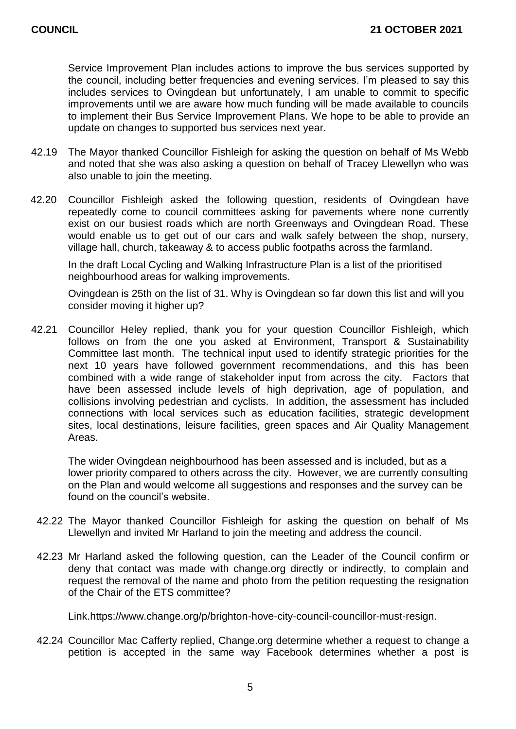Service Improvement Plan includes actions to improve the bus services supported by the council, including better frequencies and evening services. I'm pleased to say this includes services to Ovingdean but unfortunately, I am unable to commit to specific improvements until we are aware how much funding will be made available to councils to implement their Bus Service Improvement Plans. We hope to be able to provide an update on changes to supported bus services next year.

- 42.19 The Mayor thanked Councillor Fishleigh for asking the question on behalf of Ms Webb and noted that she was also asking a question on behalf of Tracey Llewellyn who was also unable to join the meeting.
- 42.20 Councillor Fishleigh asked the following question, residents of Ovingdean have repeatedly come to council committees asking for pavements where none currently exist on our busiest roads which are north Greenways and Ovingdean Road. These would enable us to get out of our cars and walk safely between the shop, nursery, village hall, church, takeaway & to access public footpaths across the farmland.

In the draft Local Cycling and Walking Infrastructure Plan is a list of the prioritised neighbourhood areas for walking improvements.

Ovingdean is 25th on the list of 31. Why is Ovingdean so far down this list and will you consider moving it higher up?

42.21 Councillor Heley replied, thank you for your question Councillor Fishleigh, which follows on from the one you asked at Environment, Transport & Sustainability Committee last month. The technical input used to identify strategic priorities for the next 10 years have followed government recommendations, and this has been combined with a wide range of stakeholder input from across the city. Factors that have been assessed include levels of high deprivation, age of population, and collisions involving pedestrian and cyclists. In addition, the assessment has included connections with local services such as education facilities, strategic development sites, local destinations, leisure facilities, green spaces and Air Quality Management Areas.

The wider Ovingdean neighbourhood has been assessed and is included, but as a lower priority compared to others across the city. However, we are currently consulting on the Plan and would welcome all suggestions and responses and the survey can be found on the council's website.

- 42.22 The Mayor thanked Councillor Fishleigh for asking the question on behalf of Ms Llewellyn and invited Mr Harland to join the meeting and address the council.
- 42.23 Mr Harland asked the following question, can the Leader of the Council confirm or deny that contact was made with change.org directly or indirectly, to complain and request the removal of the name and photo from the petition requesting the resignation of the Chair of the ETS committee?

Link.https://www.change.org/p/brighton-hove-city-council-councillor-must-resign.

42.24 Councillor Mac Cafferty replied, Change.org determine whether a request to change a petition is accepted in the same way Facebook determines whether a post is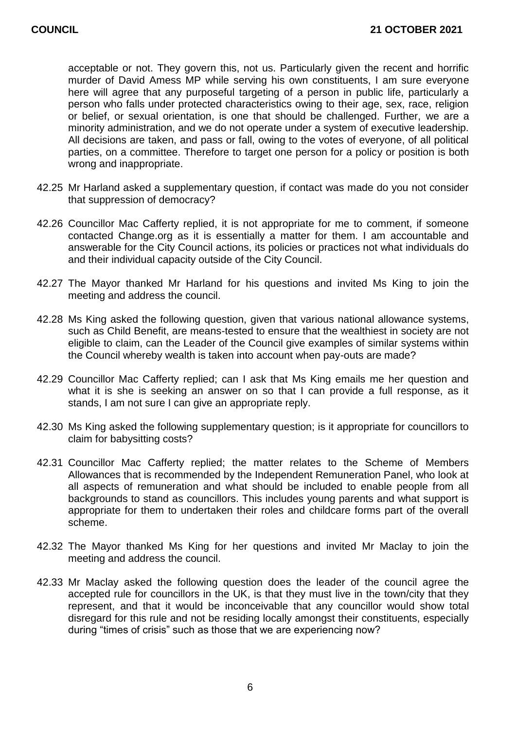acceptable or not. They govern this, not us. Particularly given the recent and horrific murder of David Amess MP while serving his own constituents, I am sure everyone here will agree that any purposeful targeting of a person in public life, particularly a person who falls under protected characteristics owing to their age, sex, race, religion or belief, or sexual orientation, is one that should be challenged. Further, we are a minority administration, and we do not operate under a system of executive leadership. All decisions are taken, and pass or fall, owing to the votes of everyone, of all political parties, on a committee. Therefore to target one person for a policy or position is both wrong and inappropriate.

- 42.25 Mr Harland asked a supplementary question, if contact was made do you not consider that suppression of democracy?
- 42.26 Councillor Mac Cafferty replied, it is not appropriate for me to comment, if someone contacted Change.org as it is essentially a matter for them. I am accountable and answerable for the City Council actions, its policies or practices not what individuals do and their individual capacity outside of the City Council.
- 42.27 The Mayor thanked Mr Harland for his questions and invited Ms King to join the meeting and address the council.
- 42.28 Ms King asked the following question, given that various national allowance systems, such as Child Benefit, are means-tested to ensure that the wealthiest in society are not eligible to claim, can the Leader of the Council give examples of similar systems within the Council whereby wealth is taken into account when pay-outs are made?
- 42.29 Councillor Mac Cafferty replied; can I ask that Ms King emails me her question and what it is she is seeking an answer on so that I can provide a full response, as it stands. I am not sure I can give an appropriate reply.
- 42.30 Ms King asked the following supplementary question; is it appropriate for councillors to claim for babysitting costs?
- 42.31 Councillor Mac Cafferty replied; the matter relates to the Scheme of Members Allowances that is recommended by the Independent Remuneration Panel, who look at all aspects of remuneration and what should be included to enable people from all backgrounds to stand as councillors. This includes young parents and what support is appropriate for them to undertaken their roles and childcare forms part of the overall scheme.
- 42.32 The Mayor thanked Ms King for her questions and invited Mr Maclay to join the meeting and address the council.
- 42.33 Mr Maclay asked the following question does the leader of the council agree the accepted rule for councillors in the UK, is that they must live in the town/city that they represent, and that it would be inconceivable that any councillor would show total disregard for this rule and not be residing locally amongst their constituents, especially during "times of crisis" such as those that we are experiencing now?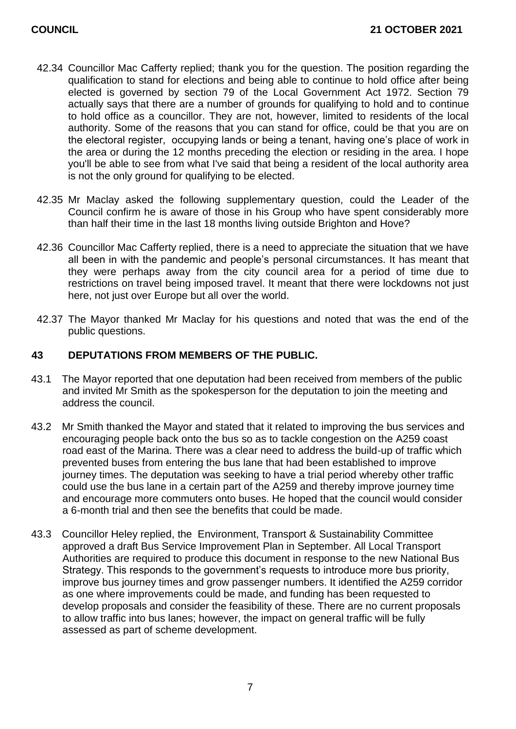- 42.34 Councillor Mac Cafferty replied; thank you for the question. The position regarding the qualification to stand for elections and being able to continue to hold office after being elected is governed by section 79 of the Local Government Act 1972. Section 79 actually says that there are a number of grounds for qualifying to hold and to continue to hold office as a councillor. They are not, however, limited to residents of the local authority. Some of the reasons that you can stand for office, could be that you are on the electoral register, occupying lands or being a tenant, having one's place of work in the area or during the 12 months preceding the election or residing in the area. I hope you'll be able to see from what I've said that being a resident of the local authority area is not the only ground for qualifying to be elected.
- 42.35 Mr Maclay asked the following supplementary question, could the Leader of the Council confirm he is aware of those in his Group who have spent considerably more than half their time in the last 18 months living outside Brighton and Hove?
- 42.36 Councillor Mac Cafferty replied, there is a need to appreciate the situation that we have all been in with the pandemic and people's personal circumstances. It has meant that they were perhaps away from the city council area for a period of time due to restrictions on travel being imposed travel. It meant that there were lockdowns not just here, not just over Europe but all over the world.
- 42.37 The Mayor thanked Mr Maclay for his questions and noted that was the end of the public questions.

# **43 DEPUTATIONS FROM MEMBERS OF THE PUBLIC.**

- 43.1 The Mayor reported that one deputation had been received from members of the public and invited Mr Smith as the spokesperson for the deputation to join the meeting and address the council.
- 43.2 Mr Smith thanked the Mayor and stated that it related to improving the bus services and encouraging people back onto the bus so as to tackle congestion on the A259 coast road east of the Marina. There was a clear need to address the build-up of traffic which prevented buses from entering the bus lane that had been established to improve journey times. The deputation was seeking to have a trial period whereby other traffic could use the bus lane in a certain part of the A259 and thereby improve journey time and encourage more commuters onto buses. He hoped that the council would consider a 6-month trial and then see the benefits that could be made.
- 43.3 Councillor Heley replied, the Environment, Transport & Sustainability Committee approved a draft Bus Service Improvement Plan in September. All Local Transport Authorities are required to produce this document in response to the new National Bus Strategy. This responds to the government's requests to introduce more bus priority, improve bus journey times and grow passenger numbers. It identified the A259 corridor as one where improvements could be made, and funding has been requested to develop proposals and consider the feasibility of these. There are no current proposals to allow traffic into bus lanes; however, the impact on general traffic will be fully assessed as part of scheme development.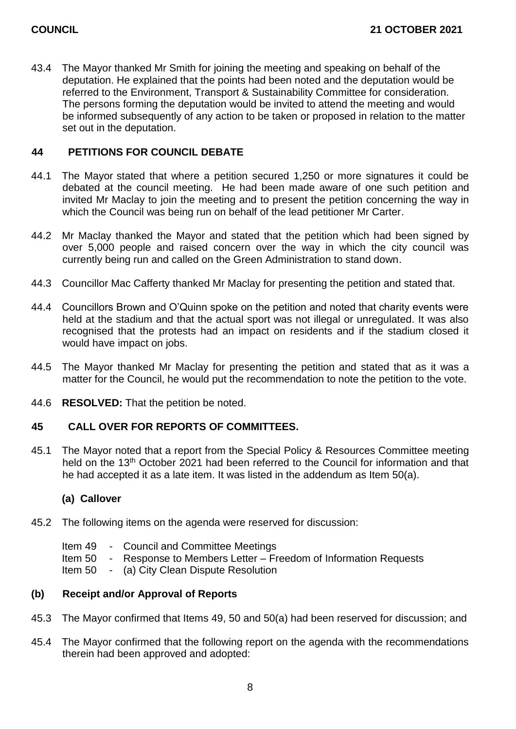43.4 The Mayor thanked Mr Smith for joining the meeting and speaking on behalf of the deputation. He explained that the points had been noted and the deputation would be referred to the Environment, Transport & Sustainability Committee for consideration. The persons forming the deputation would be invited to attend the meeting and would be informed subsequently of any action to be taken or proposed in relation to the matter set out in the deputation.

# **44 PETITIONS FOR COUNCIL DEBATE**

- 44.1 The Mayor stated that where a petition secured 1,250 or more signatures it could be debated at the council meeting. He had been made aware of one such petition and invited Mr Maclay to join the meeting and to present the petition concerning the way in which the Council was being run on behalf of the lead petitioner Mr Carter.
- 44.2 Mr Maclay thanked the Mayor and stated that the petition which had been signed by over 5,000 people and raised concern over the way in which the city council was currently being run and called on the Green Administration to stand down.
- 44.3 Councillor Mac Cafferty thanked Mr Maclay for presenting the petition and stated that.
- 44.4 Councillors Brown and O'Quinn spoke on the petition and noted that charity events were held at the stadium and that the actual sport was not illegal or unregulated. It was also recognised that the protests had an impact on residents and if the stadium closed it would have impact on jobs.
- 44.5 The Mayor thanked Mr Maclay for presenting the petition and stated that as it was a matter for the Council, he would put the recommendation to note the petition to the vote.
- 44.6 **RESOLVED:** That the petition be noted.

# **45 CALL OVER FOR REPORTS OF COMMITTEES.**

45.1 The Mayor noted that a report from the Special Policy & Resources Committee meeting held on the 13<sup>th</sup> October 2021 had been referred to the Council for information and that he had accepted it as a late item. It was listed in the addendum as Item 50(a).

# **(a) Callover**

- 45.2 The following items on the agenda were reserved for discussion:
	- Item 49 Council and Committee Meetings
	- Item 50 Response to Members Letter Freedom of Information Requests
	- Item 50 (a) City Clean Dispute Resolution

# **(b) Receipt and/or Approval of Reports**

- 45.3 The Mayor confirmed that Items 49, 50 and 50(a) had been reserved for discussion; and
- 45.4 The Mayor confirmed that the following report on the agenda with the recommendations therein had been approved and adopted: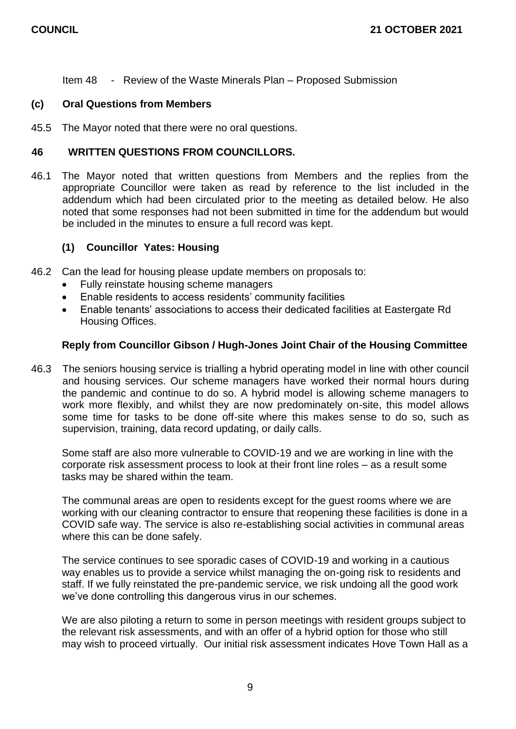Item 48 - Review of the Waste Minerals Plan – Proposed Submission

## **(c) Oral Questions from Members**

45.5 The Mayor noted that there were no oral questions.

## **46 WRITTEN QUESTIONS FROM COUNCILLORS.**

46.1 The Mayor noted that written questions from Members and the replies from the appropriate Councillor were taken as read by reference to the list included in the addendum which had been circulated prior to the meeting as detailed below. He also noted that some responses had not been submitted in time for the addendum but would be included in the minutes to ensure a full record was kept.

# **(1) Councillor Yates: Housing**

- 46.2 Can the lead for housing please update members on proposals to:
	- Fully reinstate housing scheme managers
	- Enable residents to access residents' community facilities
	- Enable tenants' associations to access their dedicated facilities at Eastergate Rd Housing Offices.

#### **Reply from Councillor Gibson / Hugh-Jones Joint Chair of the Housing Committee**

46.3 The seniors housing service is trialling a hybrid operating model in line with other council and housing services. Our scheme managers have worked their normal hours during the pandemic and continue to do so. A hybrid model is allowing scheme managers to work more flexibly, and whilst they are now predominately on-site, this model allows some time for tasks to be done off-site where this makes sense to do so, such as supervision, training, data record updating, or daily calls.

Some staff are also more vulnerable to COVID-19 and we are working in line with the corporate risk assessment process to look at their front line roles – as a result some tasks may be shared within the team.

The communal areas are open to residents except for the guest rooms where we are working with our cleaning contractor to ensure that reopening these facilities is done in a COVID safe way. The service is also re-establishing social activities in communal areas where this can be done safely.

The service continues to see sporadic cases of COVID-19 and working in a cautious way enables us to provide a service whilst managing the on-going risk to residents and staff. If we fully reinstated the pre-pandemic service, we risk undoing all the good work we've done controlling this dangerous virus in our schemes.

We are also piloting a return to some in person meetings with resident groups subject to the relevant risk assessments, and with an offer of a hybrid option for those who still may wish to proceed virtually. Our initial risk assessment indicates Hove Town Hall as a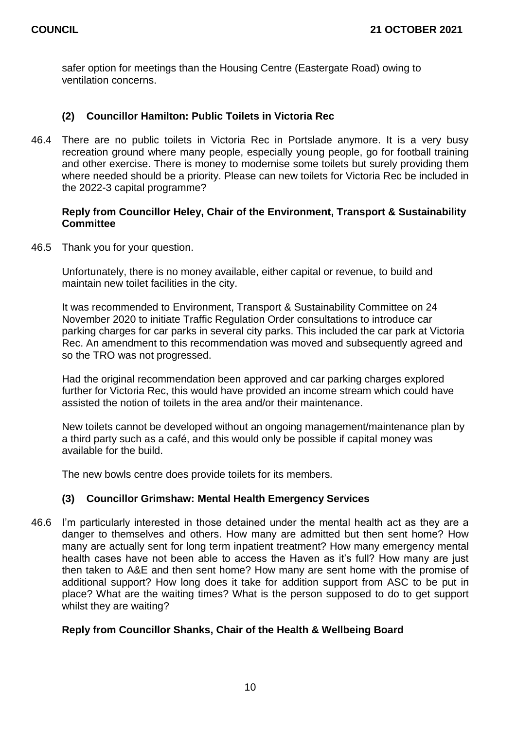safer option for meetings than the Housing Centre (Eastergate Road) owing to ventilation concerns.

# **(2) Councillor Hamilton: Public Toilets in Victoria Rec**

46.4 There are no public toilets in Victoria Rec in Portslade anymore. It is a very busy recreation ground where many people, especially young people, go for football training and other exercise. There is money to modernise some toilets but surely providing them where needed should be a priority. Please can new toilets for Victoria Rec be included in the 2022-3 capital programme?

## **Reply from Councillor Heley, Chair of the Environment, Transport & Sustainability Committee**

46.5 Thank you for your question.

Unfortunately, there is no money available, either capital or revenue, to build and maintain new toilet facilities in the city.

It was recommended to Environment, Transport & Sustainability Committee on 24 November 2020 to initiate Traffic Regulation Order consultations to introduce car parking charges for car parks in several city parks. This included the car park at Victoria Rec. An amendment to this recommendation was moved and subsequently agreed and so the TRO was not progressed.

Had the original recommendation been approved and car parking charges explored further for Victoria Rec, this would have provided an income stream which could have assisted the notion of toilets in the area and/or their maintenance.

New toilets cannot be developed without an ongoing management/maintenance plan by a third party such as a café, and this would only be possible if capital money was available for the build.

The new bowls centre does provide toilets for its members*.*

# **(3) Councillor Grimshaw: Mental Health Emergency Services**

46.6 I'm particularly interested in those detained under the mental health act as they are a danger to themselves and others. How many are admitted but then sent home? How many are actually sent for long term inpatient treatment? How many emergency mental health cases have not been able to access the Haven as it's full? How many are just then taken to A&E and then sent home? How many are sent home with the promise of additional support? How long does it take for addition support from ASC to be put in place? What are the waiting times? What is the person supposed to do to get support whilst they are waiting?

# **Reply from Councillor Shanks, Chair of the Health & Wellbeing Board**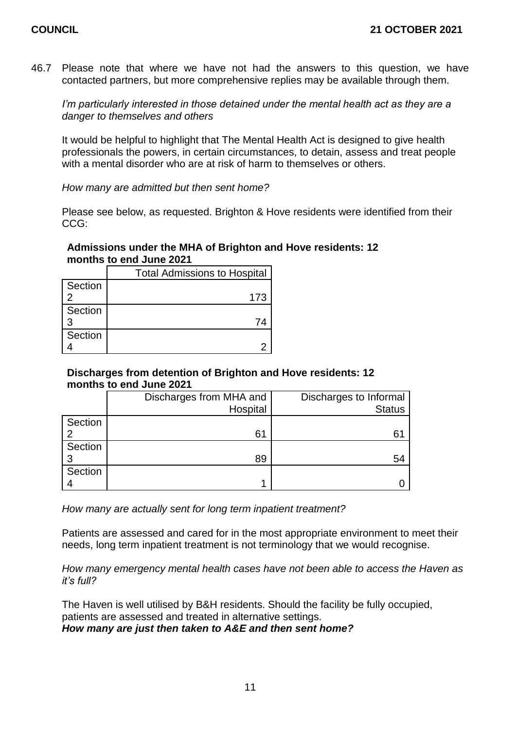46.7 Please note that where we have not had the answers to this question, we have contacted partners, but more comprehensive replies may be available through them.

*I'm particularly interested in those detained under the mental health act as they are a danger to themselves and others*

It would be helpful to highlight that The Mental Health Act is designed to give health professionals the powers, in certain circumstances, to detain, assess and treat people with a mental disorder who are at risk of harm to themselves or others.

*How many are admitted but then sent home?*

Please see below, as requested. Brighton & Hove residents were identified from their CCG:

# **Admissions under the MHA of Brighton and Hove residents: 12 months to end June 2021**

|         | <b>Total Admissions to Hospital</b> |  |
|---------|-------------------------------------|--|
| Section |                                     |  |
|         | 173                                 |  |
| Section |                                     |  |
| 3       |                                     |  |
| Section |                                     |  |
|         |                                     |  |

# **Discharges from detention of Brighton and Hove residents: 12 months to end June 2021**

|         | Discharges from MHA and | Discharges to Informal |
|---------|-------------------------|------------------------|
|         | Hospital                | <b>Status</b>          |
| Section |                         |                        |
|         | 61                      | 6 <sup>1</sup>         |
| Section |                         |                        |
|         | 89                      | 54                     |
| Section |                         |                        |
|         |                         |                        |

*How many are actually sent for long term inpatient treatment?*

Patients are assessed and cared for in the most appropriate environment to meet their needs, long term inpatient treatment is not terminology that we would recognise.

*How many emergency mental health cases have not been able to access the Haven as it's full?*

The Haven is well utilised by B&H residents. Should the facility be fully occupied, patients are assessed and treated in alternative settings. *How many are just then taken to A&E and then sent home?*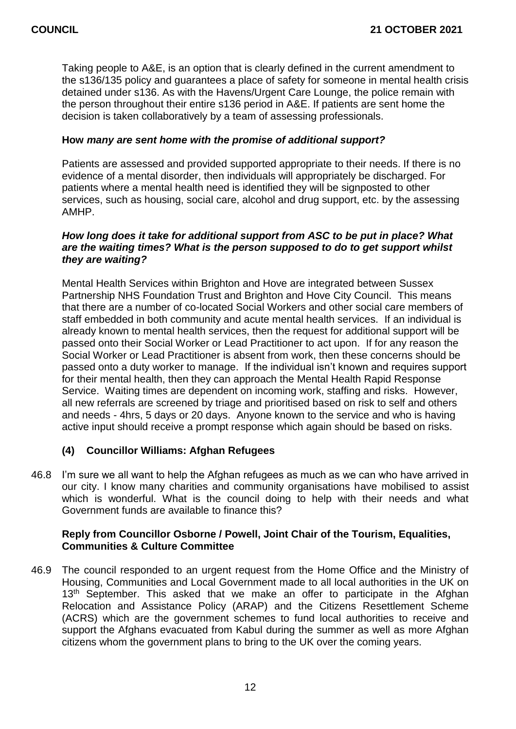Taking people to A&E, is an option that is clearly defined in the current amendment to the s136/135 policy and guarantees a place of safety for someone in mental health crisis detained under s136. As with the Havens/Urgent Care Lounge, the police remain with the person throughout their entire s136 period in A&E. If patients are sent home the decision is taken collaboratively by a team of assessing professionals.

## **How** *many are sent home with the promise of additional support?*

Patients are assessed and provided supported appropriate to their needs. If there is no evidence of a mental disorder, then individuals will appropriately be discharged. For patients where a mental health need is identified they will be signposted to other services, such as housing, social care, alcohol and drug support, etc. by the assessing AMHP.

### *How long does it take for additional support from ASC to be put in place? What are the waiting times? What is the person supposed to do to get support whilst they are waiting?*

Mental Health Services within Brighton and Hove are integrated between Sussex Partnership NHS Foundation Trust and Brighton and Hove City Council. This means that there are a number of co-located Social Workers and other social care members of staff embedded in both community and acute mental health services. If an individual is already known to mental health services, then the request for additional support will be passed onto their Social Worker or Lead Practitioner to act upon. If for any reason the Social Worker or Lead Practitioner is absent from work, then these concerns should be passed onto a duty worker to manage. If the individual isn't known and requires support for their mental health, then they can approach the Mental Health Rapid Response Service. Waiting times are dependent on incoming work, staffing and risks. However, all new referrals are screened by triage and prioritised based on risk to self and others and needs - 4hrs, 5 days or 20 days. Anyone known to the service and who is having active input should receive a prompt response which again should be based on risks.

# **(4) Councillor Williams: Afghan Refugees**

46.8 I'm sure we all want to help the Afghan refugees as much as we can who have arrived in our city. I know many charities and community organisations have mobilised to assist which is wonderful. What is the council doing to help with their needs and what Government funds are available to finance this?

# **Reply from Councillor Osborne / Powell, Joint Chair of the Tourism, Equalities, Communities & Culture Committee**

46.9 The council responded to an urgent request from the Home Office and the Ministry of Housing, Communities and Local Government made to all local authorities in the UK on 13<sup>th</sup> September. This asked that we make an offer to participate in the Afghan Relocation and Assistance Policy (ARAP) and the Citizens Resettlement Scheme (ACRS) which are the government schemes to fund local authorities to receive and support the Afghans evacuated from Kabul during the summer as well as more Afghan citizens whom the government plans to bring to the UK over the coming years.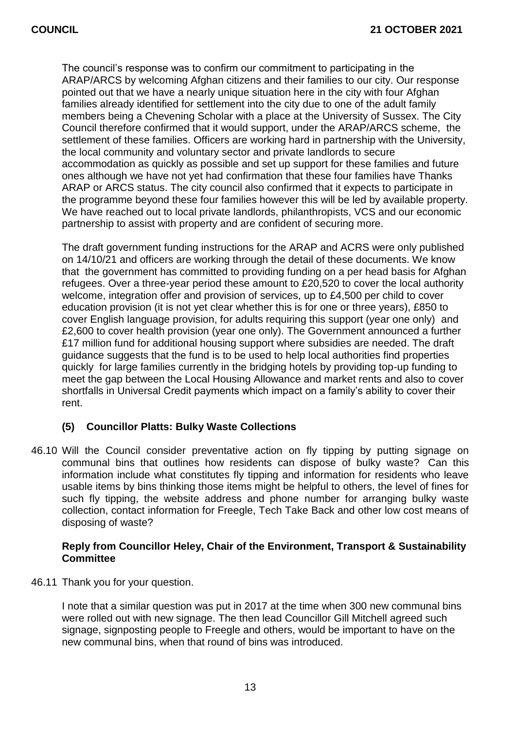The council's response was to confirm our commitment to participating in the ARAP/ARCS by welcoming Afghan citizens and their families to our city. Our response pointed out that we have a nearly unique situation here in the city with four Afghan families already identified for settlement into the city due to one of the adult family members being a Chevening Scholar with a place at the University of Sussex. The City Council therefore confirmed that it would support, under the ARAP/ARCS scheme, the settlement of these families. Officers are working hard in partnership with the University, the local community and voluntary sector and private landlords to secure accommodation as quickly as possible and set up support for these families and future ones although we have not yet had confirmation that these four families have Thanks ARAP or ARCS status. The city council also confirmed that it expects to participate in the programme beyond these four families however this will be led by available property. We have reached out to local private landlords, philanthropists, VCS and our economic partnership to assist with property and are confident of securing more.

The draft government funding instructions for the ARAP and ACRS were only published on 14/10/21 and officers are working through the detail of these documents. We know that the government has committed to providing funding on a per head basis for Afghan refugees. Over a three-year period these amount to £20,520 to cover the local authority welcome, integration offer and provision of services, up to £4,500 per child to cover education provision (it is not yet clear whether this is for one or three years), £850 to cover English language provision, for adults requiring this support (year one only) and £2,600 to cover health provision (year one only). The Government announced a further £17 million fund for additional housing support where subsidies are needed. The draft guidance suggests that the fund is to be used to help local authorities find properties quickly for large families currently in the bridging hotels by providing top-up funding to meet the gap between the Local Housing Allowance and market rents and also to cover shortfalls in Universal Credit payments which impact on a family's ability to cover their rent.

# **(5) Councillor Platts: Bulky Waste Collections**

46.10 Will the Council consider preventative action on fly tipping by putting signage on communal bins that outlines how residents can dispose of bulky waste? Can this information include what constitutes fly tipping and information for residents who leave usable items by bins thinking those items might be helpful to others, the level of fines for such fly tipping, the website address and phone number for arranging bulky waste collection, contact information for Freegle, Tech Take Back and other low cost means of disposing of waste?

# **Reply from Councillor Heley, Chair of the Environment, Transport & Sustainability Committee**

46.11 Thank you for your question.

I note that a similar question was put in 2017 at the time when 300 new communal bins were rolled out with new signage. The then lead Councillor Gill Mitchell agreed such signage, signposting people to Freegle and others, would be important to have on the new communal bins, when that round of bins was introduced.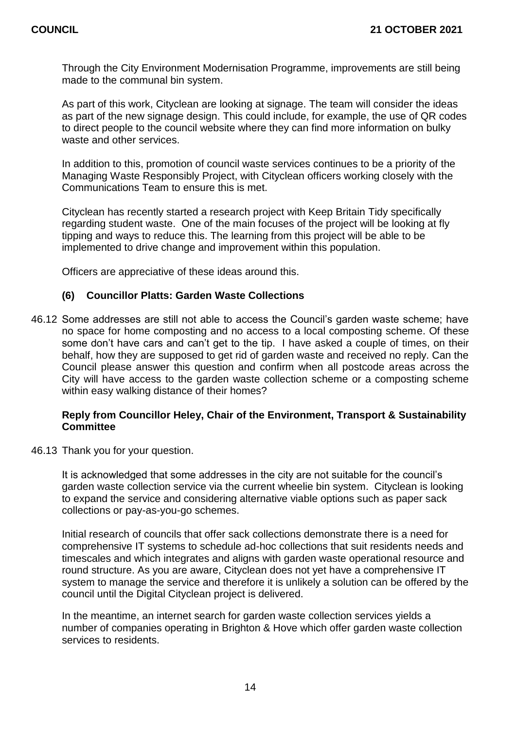Through the City Environment Modernisation Programme, improvements are still being made to the communal bin system.

As part of this work, Cityclean are looking at signage. The team will consider the ideas as part of the new signage design. This could include, for example, the use of QR codes to direct people to the council website where they can find more information on bulky waste and other services.

In addition to this, promotion of council waste services continues to be a priority of the Managing Waste Responsibly Project, with Cityclean officers working closely with the Communications Team to ensure this is met.

Cityclean has recently started a research project with Keep Britain Tidy specifically regarding student waste. One of the main focuses of the project will be looking at fly tipping and ways to reduce this. The learning from this project will be able to be implemented to drive change and improvement within this population.

Officers are appreciative of these ideas around this.

# **(6) Councillor Platts: Garden Waste Collections**

46.12 Some addresses are still not able to access the Council's garden waste scheme; have no space for home composting and no access to a local composting scheme. Of these some don't have cars and can't get to the tip. I have asked a couple of times, on their behalf, how they are supposed to get rid of garden waste and received no reply. Can the Council please answer this question and confirm when all postcode areas across the City will have access to the garden waste collection scheme or a composting scheme within easy walking distance of their homes?

# **Reply from Councillor Heley, Chair of the Environment, Transport & Sustainability Committee**

46.13 Thank you for your question.

It is acknowledged that some addresses in the city are not suitable for the council's garden waste collection service via the current wheelie bin system. Cityclean is looking to expand the service and considering alternative viable options such as paper sack collections or pay-as-you-go schemes.

Initial research of councils that offer sack collections demonstrate there is a need for comprehensive IT systems to schedule ad-hoc collections that suit residents needs and timescales and which integrates and aligns with garden waste operational resource and round structure. As you are aware, Cityclean does not yet have a comprehensive IT system to manage the service and therefore it is unlikely a solution can be offered by the council until the Digital Cityclean project is delivered.

In the meantime, an internet search for garden waste collection services yields a number of companies operating in Brighton & Hove which offer garden waste collection services to residents.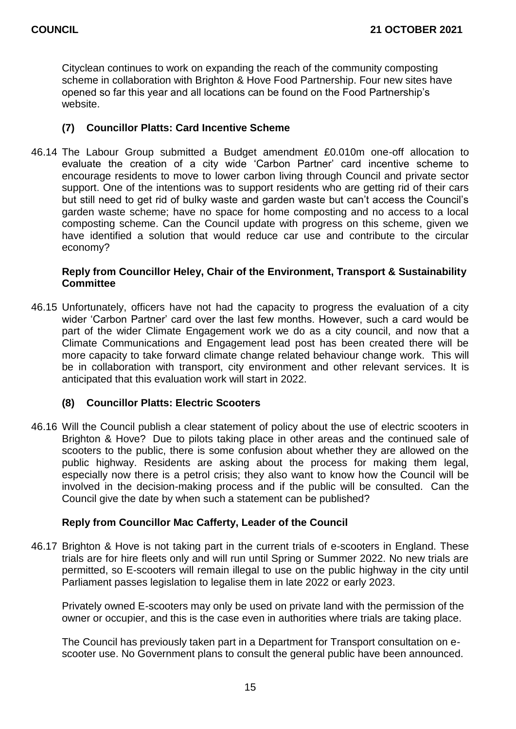Cityclean continues to work on expanding the reach of the community composting scheme in collaboration with Brighton & Hove Food Partnership. Four new sites have opened so far this year and all locations can be found on the Food Partnership's website.

# **(7) Councillor Platts: Card Incentive Scheme**

46.14 The Labour Group submitted a Budget amendment £0.010m one-off allocation to evaluate the creation of a city wide 'Carbon Partner' card incentive scheme to encourage residents to move to lower carbon living through Council and private sector support. One of the intentions was to support residents who are getting rid of their cars but still need to get rid of bulky waste and garden waste but can't access the Council's garden waste scheme; have no space for home composting and no access to a local composting scheme. Can the Council update with progress on this scheme, given we have identified a solution that would reduce car use and contribute to the circular economy?

## **Reply from Councillor Heley, Chair of the Environment, Transport & Sustainability Committee**

46.15 Unfortunately, officers have not had the capacity to progress the evaluation of a city wider 'Carbon Partner' card over the last few months. However, such a card would be part of the wider Climate Engagement work we do as a city council, and now that a Climate Communications and Engagement lead post has been created there will be more capacity to take forward climate change related behaviour change work. This will be in collaboration with transport, city environment and other relevant services. It is anticipated that this evaluation work will start in 2022.

# **(8) Councillor Platts: Electric Scooters**

46.16 Will the Council publish a clear statement of policy about the use of electric scooters in Brighton & Hove? Due to pilots taking place in other areas and the continued sale of scooters to the public, there is some confusion about whether they are allowed on the public highway. Residents are asking about the process for making them legal, especially now there is a petrol crisis; they also want to know how the Council will be involved in the decision-making process and if the public will be consulted. Can the Council give the date by when such a statement can be published?

# **Reply from Councillor Mac Cafferty, Leader of the Council**

46.17 Brighton & Hove is not taking part in the current trials of e-scooters in England. These trials are for hire fleets only and will run until Spring or Summer 2022. No new trials are permitted, so E-scooters will remain illegal to use on the public highway in the city until Parliament passes legislation to legalise them in late 2022 or early 2023.

Privately owned E-scooters may only be used on private land with the permission of the owner or occupier, and this is the case even in authorities where trials are taking place.

The Council has previously taken part in a Department for Transport consultation on escooter use. No Government plans to consult the general public have been announced.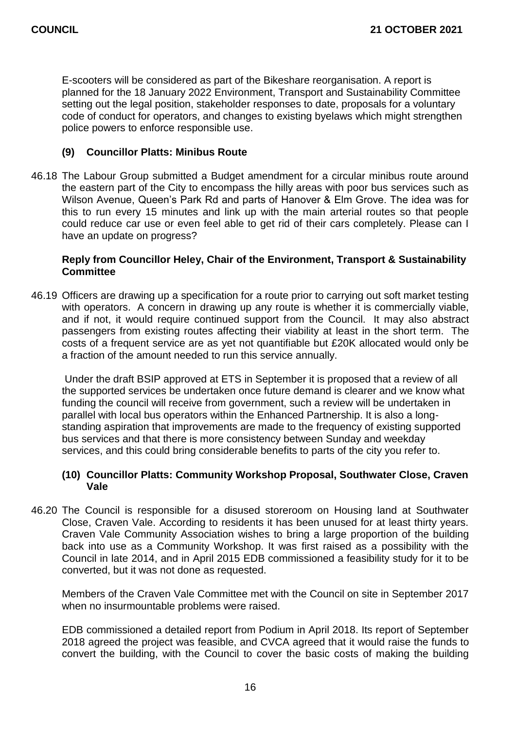E-scooters will be considered as part of the Bikeshare reorganisation. A report is planned for the 18 January 2022 Environment, Transport and Sustainability Committee setting out the legal position, stakeholder responses to date, proposals for a voluntary code of conduct for operators, and changes to existing byelaws which might strengthen police powers to enforce responsible use.

# **(9) Councillor Platts: Minibus Route**

46.18 The Labour Group submitted a Budget amendment for a circular minibus route around the eastern part of the City to encompass the hilly areas with poor bus services such as Wilson Avenue, Queen's Park Rd and parts of Hanover & Elm Grove. The idea was for this to run every 15 minutes and link up with the main arterial routes so that people could reduce car use or even feel able to get rid of their cars completely. Please can I have an update on progress?

# **Reply from Councillor Heley, Chair of the Environment, Transport & Sustainability Committee**

46.19 Officers are drawing up a specification for a route prior to carrying out soft market testing with operators. A concern in drawing up any route is whether it is commercially viable, and if not, it would require continued support from the Council. It may also abstract passengers from existing routes affecting their viability at least in the short term. The costs of a frequent service are as yet not quantifiable but £20K allocated would only be a fraction of the amount needed to run this service annually.

Under the draft BSIP approved at ETS in September it is proposed that a review of all the supported services be undertaken once future demand is clearer and we know what funding the council will receive from government, such a review will be undertaken in parallel with local bus operators within the Enhanced Partnership. It is also a longstanding aspiration that improvements are made to the frequency of existing supported bus services and that there is more consistency between Sunday and weekday services, and this could bring considerable benefits to parts of the city you refer to.

# **(10) Councillor Platts: Community Workshop Proposal, Southwater Close, Craven Vale**

46.20 The Council is responsible for a disused storeroom on Housing land at Southwater Close, Craven Vale. According to residents it has been unused for at least thirty years. Craven Vale Community Association wishes to bring a large proportion of the building back into use as a Community Workshop. It was first raised as a possibility with the Council in late 2014, and in April 2015 EDB commissioned a feasibility study for it to be converted, but it was not done as requested.

Members of the Craven Vale Committee met with the Council on site in September 2017 when no insurmountable problems were raised.

EDB commissioned a detailed report from Podium in April 2018. Its report of September 2018 agreed the project was feasible, and CVCA agreed that it would raise the funds to convert the building, with the Council to cover the basic costs of making the building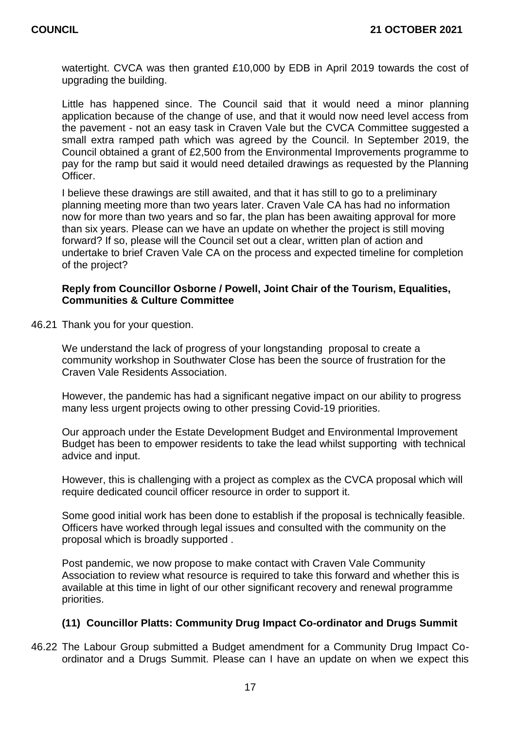watertight. CVCA was then granted £10,000 by EDB in April 2019 towards the cost of upgrading the building.

Little has happened since. The Council said that it would need a minor planning application because of the change of use, and that it would now need level access from the pavement - not an easy task in Craven Vale but the CVCA Committee suggested a small extra ramped path which was agreed by the Council. In September 2019, the Council obtained a grant of £2,500 from the Environmental Improvements programme to pay for the ramp but said it would need detailed drawings as requested by the Planning **Officer** 

I believe these drawings are still awaited, and that it has still to go to a preliminary planning meeting more than two years later. Craven Vale CA has had no information now for more than two years and so far, the plan has been awaiting approval for more than six years. Please can we have an update on whether the project is still moving forward? If so, please will the Council set out a clear, written plan of action and undertake to brief Craven Vale CA on the process and expected timeline for completion of the project?

## **Reply from Councillor Osborne / Powell, Joint Chair of the Tourism, Equalities, Communities & Culture Committee**

46.21 Thank you for your question.

We understand the lack of progress of your longstanding proposal to create a community workshop in Southwater Close has been the source of frustration for the Craven Vale Residents Association.

However, the pandemic has had a significant negative impact on our ability to progress many less urgent projects owing to other pressing Covid-19 priorities.

Our approach under the Estate Development Budget and Environmental Improvement Budget has been to empower residents to take the lead whilst supporting with technical advice and input.

However, this is challenging with a project as complex as the CVCA proposal which will require dedicated council officer resource in order to support it.

Some good initial work has been done to establish if the proposal is technically feasible. Officers have worked through legal issues and consulted with the community on the proposal which is broadly supported .

Post pandemic, we now propose to make contact with Craven Vale Community Association to review what resource is required to take this forward and whether this is available at this time in light of our other significant recovery and renewal programme priorities.

# **(11) Councillor Platts: Community Drug Impact Co-ordinator and Drugs Summit**

46.22 The Labour Group submitted a Budget amendment for a Community Drug Impact Coordinator and a Drugs Summit. Please can I have an update on when we expect this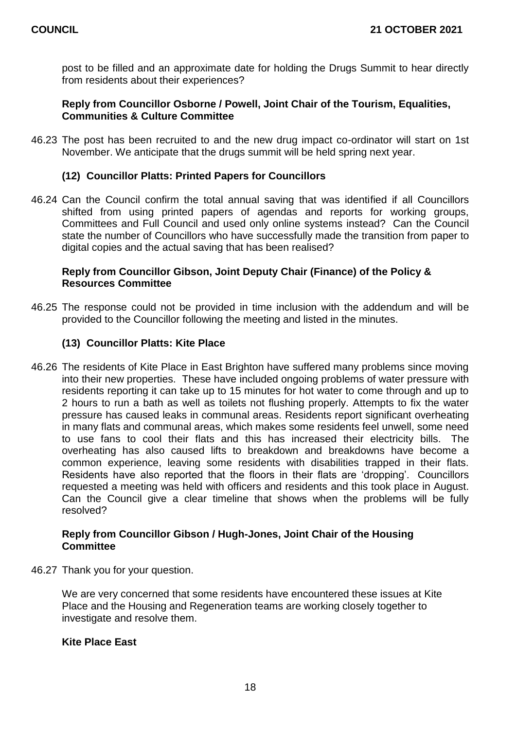post to be filled and an approximate date for holding the Drugs Summit to hear directly from residents about their experiences?

# **Reply from Councillor Osborne / Powell, Joint Chair of the Tourism, Equalities, Communities & Culture Committee**

46.23 The post has been recruited to and the new drug impact co-ordinator will start on 1st November. We anticipate that the drugs summit will be held spring next year.

# **(12) Councillor Platts: Printed Papers for Councillors**

46.24 Can the Council confirm the total annual saving that was identified if all Councillors shifted from using printed papers of agendas and reports for working groups, Committees and Full Council and used only online systems instead? Can the Council state the number of Councillors who have successfully made the transition from paper to digital copies and the actual saving that has been realised?

# **Reply from Councillor Gibson, Joint Deputy Chair (Finance) of the Policy & Resources Committee**

46.25 The response could not be provided in time inclusion with the addendum and will be provided to the Councillor following the meeting and listed in the minutes.

# **(13) Councillor Platts: Kite Place**

46.26 The residents of Kite Place in East Brighton have suffered many problems since moving into their new properties. These have included ongoing problems of water pressure with residents reporting it can take up to 15 minutes for hot water to come through and up to 2 hours to run a bath as well as toilets not flushing properly. Attempts to fix the water pressure has caused leaks in communal areas. Residents report significant overheating in many flats and communal areas, which makes some residents feel unwell, some need to use fans to cool their flats and this has increased their electricity bills. The overheating has also caused lifts to breakdown and breakdowns have become a common experience, leaving some residents with disabilities trapped in their flats. Residents have also reported that the floors in their flats are 'dropping'. Councillors requested a meeting was held with officers and residents and this took place in August. Can the Council give a clear timeline that shows when the problems will be fully resolved?

# **Reply from Councillor Gibson / Hugh-Jones, Joint Chair of the Housing Committee**

46.27 Thank you for your question.

We are very concerned that some residents have encountered these issues at Kite Place and the Housing and Regeneration teams are working closely together to investigate and resolve them.

# **Kite Place East**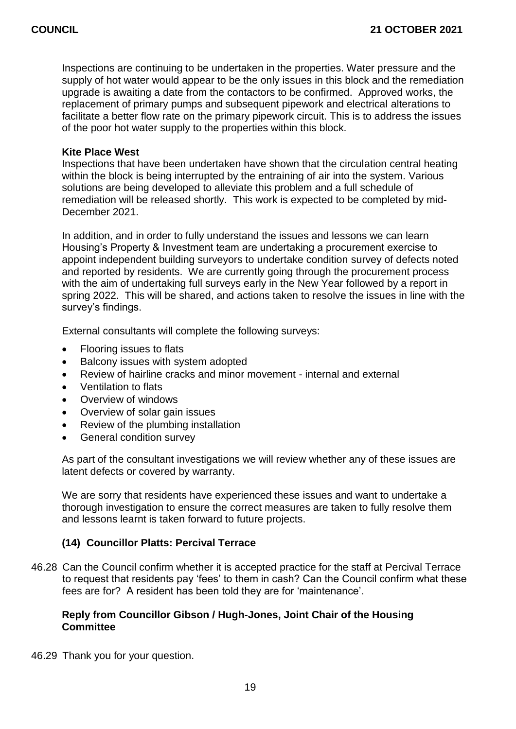Inspections are continuing to be undertaken in the properties. Water pressure and the supply of hot water would appear to be the only issues in this block and the remediation upgrade is awaiting a date from the contactors to be confirmed. Approved works, the replacement of primary pumps and subsequent pipework and electrical alterations to facilitate a better flow rate on the primary pipework circuit. This is to address the issues of the poor hot water supply to the properties within this block.

#### **Kite Place West**

Inspections that have been undertaken have shown that the circulation central heating within the block is being interrupted by the entraining of air into the system. Various solutions are being developed to alleviate this problem and a full schedule of remediation will be released shortly. This work is expected to be completed by mid-December 2021.

In addition, and in order to fully understand the issues and lessons we can learn Housing's Property & Investment team are undertaking a procurement exercise to appoint independent building surveyors to undertake condition survey of defects noted and reported by residents. We are currently going through the procurement process with the aim of undertaking full surveys early in the New Year followed by a report in spring 2022. This will be shared, and actions taken to resolve the issues in line with the survey's findings.

External consultants will complete the following surveys:

- Flooring issues to flats
- Balcony issues with system adopted
- Review of hairline cracks and minor movement internal and external
- Ventilation to flats
- Overview of windows
- Overview of solar gain issues
- Review of the plumbing installation
- General condition survey

As part of the consultant investigations we will review whether any of these issues are latent defects or covered by warranty.

We are sorry that residents have experienced these issues and want to undertake a thorough investigation to ensure the correct measures are taken to fully resolve them and lessons learnt is taken forward to future projects.

# **(14) Councillor Platts: Percival Terrace**

46.28 Can the Council confirm whether it is accepted practice for the staff at Percival Terrace to request that residents pay 'fees' to them in cash? Can the Council confirm what these fees are for? A resident has been told they are for 'maintenance'.

# **Reply from Councillor Gibson / Hugh-Jones, Joint Chair of the Housing Committee**

46.29 Thank you for your question.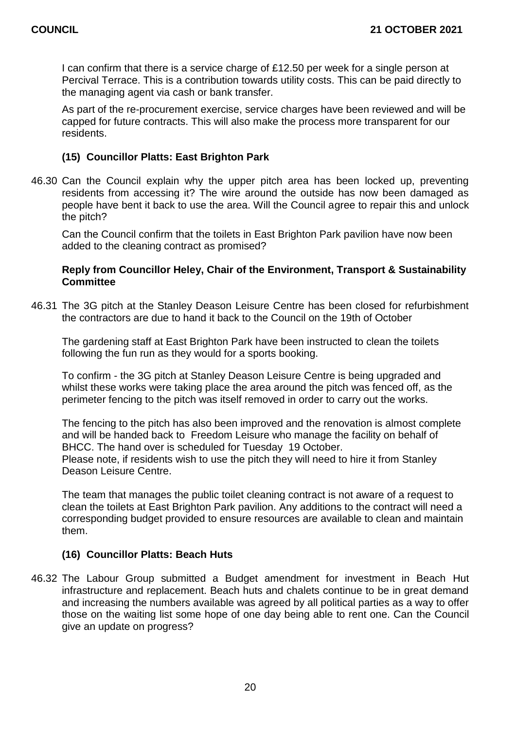I can confirm that there is a service charge of £12.50 per week for a single person at Percival Terrace. This is a contribution towards utility costs. This can be paid directly to the managing agent via cash or bank transfer.

As part of the re-procurement exercise, service charges have been reviewed and will be capped for future contracts. This will also make the process more transparent for our residents.

# **(15) Councillor Platts: East Brighton Park**

46.30 Can the Council explain why the upper pitch area has been locked up, preventing residents from accessing it? The wire around the outside has now been damaged as people have bent it back to use the area. Will the Council agree to repair this and unlock the pitch?

Can the Council confirm that the toilets in East Brighton Park pavilion have now been added to the cleaning contract as promised?

# **Reply from Councillor Heley, Chair of the Environment, Transport & Sustainability Committee**

46.31 The 3G pitch at the Stanley Deason Leisure Centre has been closed for refurbishment the contractors are due to hand it back to the Council on the 19th of October

The gardening staff at East Brighton Park have been instructed to clean the toilets following the fun run as they would for a sports booking.

To confirm - the 3G pitch at Stanley Deason Leisure Centre is being upgraded and whilst these works were taking place the area around the pitch was fenced off, as the perimeter fencing to the pitch was itself removed in order to carry out the works.

The fencing to the pitch has also been improved and the renovation is almost complete and will be handed back to Freedom Leisure who manage the facility on behalf of BHCC. The hand over is scheduled for Tuesday 19 October. Please note, if residents wish to use the pitch they will need to hire it from Stanley Deason Leisure Centre.

The team that manages the public toilet cleaning contract is not aware of a request to clean the toilets at East Brighton Park pavilion. Any additions to the contract will need a corresponding budget provided to ensure resources are available to clean and maintain them.

# **(16) Councillor Platts: Beach Huts**

46.32 The Labour Group submitted a Budget amendment for investment in Beach Hut infrastructure and replacement. Beach huts and chalets continue to be in great demand and increasing the numbers available was agreed by all political parties as a way to offer those on the waiting list some hope of one day being able to rent one. Can the Council give an update on progress?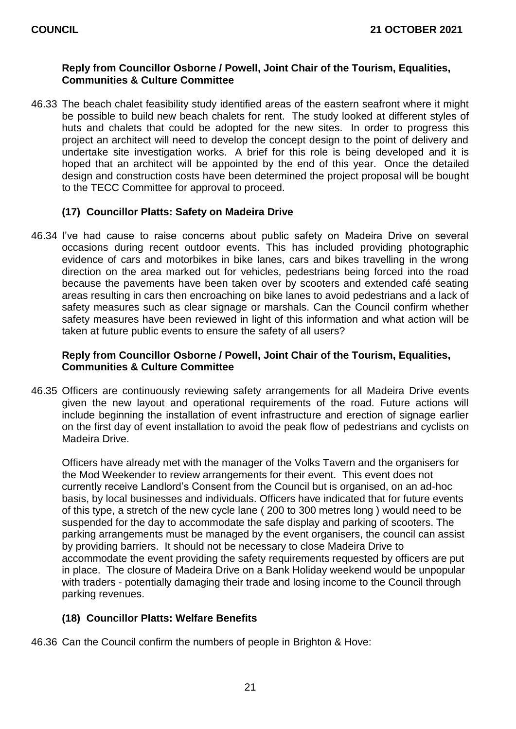# **Reply from Councillor Osborne / Powell, Joint Chair of the Tourism, Equalities, Communities & Culture Committee**

46.33 The beach chalet feasibility study identified areas of the eastern seafront where it might be possible to build new beach chalets for rent. The study looked at different styles of huts and chalets that could be adopted for the new sites. In order to progress this project an architect will need to develop the concept design to the point of delivery and undertake site investigation works. A brief for this role is being developed and it is hoped that an architect will be appointed by the end of this year. Once the detailed design and construction costs have been determined the project proposal will be bought to the TECC Committee for approval to proceed.

# **(17) Councillor Platts: Safety on Madeira Drive**

46.34 I've had cause to raise concerns about public safety on Madeira Drive on several occasions during recent outdoor events. This has included providing photographic evidence of cars and motorbikes in bike lanes, cars and bikes travelling in the wrong direction on the area marked out for vehicles, pedestrians being forced into the road because the pavements have been taken over by scooters and extended café seating areas resulting in cars then encroaching on bike lanes to avoid pedestrians and a lack of safety measures such as clear signage or marshals. Can the Council confirm whether safety measures have been reviewed in light of this information and what action will be taken at future public events to ensure the safety of all users?

# **Reply from Councillor Osborne / Powell, Joint Chair of the Tourism, Equalities, Communities & Culture Committee**

46.35 Officers are continuously reviewing safety arrangements for all Madeira Drive events given the new layout and operational requirements of the road. Future actions will include beginning the installation of event infrastructure and erection of signage earlier on the first day of event installation to avoid the peak flow of pedestrians and cyclists on Madeira Drive.

 Officers have already met with the manager of the Volks Tavern and the organisers for the Mod Weekender to review arrangements for their event. This event does not currently receive Landlord's Consent from the Council but is organised, on an ad-hoc basis, by local businesses and individuals. Officers have indicated that for future events of this type, a stretch of the new cycle lane ( 200 to 300 metres long ) would need to be suspended for the day to accommodate the safe display and parking of scooters. The parking arrangements must be managed by the event organisers, the council can assist by providing barriers. It should not be necessary to close Madeira Drive to accommodate the event providing the safety requirements requested by officers are put in place. The closure of Madeira Drive on a Bank Holiday weekend would be unpopular with traders - potentially damaging their trade and losing income to the Council through parking revenues.

# **(18) Councillor Platts: Welfare Benefits**

46.36 Can the Council confirm the numbers of people in Brighton & Hove: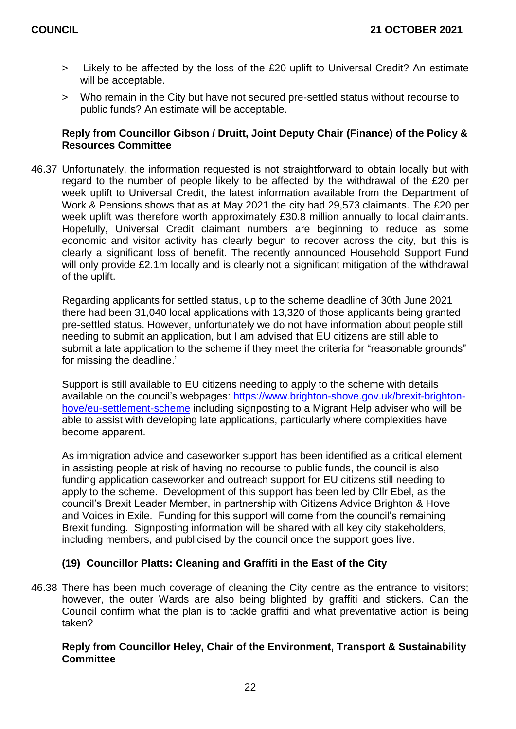- > Likely to be affected by the loss of the £20 uplift to Universal Credit? An estimate will be acceptable.
- > Who remain in the City but have not secured pre-settled status without recourse to public funds? An estimate will be acceptable.

# **Reply from Councillor Gibson / Druitt, Joint Deputy Chair (Finance) of the Policy & Resources Committee**

46.37 Unfortunately, the information requested is not straightforward to obtain locally but with regard to the number of people likely to be affected by the withdrawal of the £20 per week uplift to Universal Credit, the latest information available from the Department of Work & Pensions shows that as at May 2021 the city had 29,573 claimants. The £20 per week uplift was therefore worth approximately £30.8 million annually to local claimants. Hopefully, Universal Credit claimant numbers are beginning to reduce as some economic and visitor activity has clearly begun to recover across the city, but this is clearly a significant loss of benefit. The recently announced Household Support Fund will only provide £2.1m locally and is clearly not a significant mitigation of the withdrawal of the uplift.

Regarding applicants for settled status, up to the scheme deadline of 30th June 2021 there had been 31,040 local applications with 13,320 of those applicants being granted pre-settled status. However, unfortunately we do not have information about people still needing to submit an application, but I am advised that EU citizens are still able to submit a late application to the scheme if they meet the criteria for "reasonable grounds" for missing the deadline.'

Support is still available to EU citizens needing to apply to the scheme with details available on the council's webpages: [https://www.brighton-shove.gov.uk/brexit-brighton](https://www.brighton-shove.gov.uk/brexit-brighton-hove/eu-settlement-scheme)[hove/eu-settlement-scheme](https://www.brighton-shove.gov.uk/brexit-brighton-hove/eu-settlement-scheme) including signposting to a Migrant Help adviser who will be able to assist with developing late applications, particularly where complexities have become apparent.

As immigration advice and caseworker support has been identified as a critical element in assisting people at risk of having no recourse to public funds, the council is also funding application caseworker and outreach support for EU citizens still needing to apply to the scheme. Development of this support has been led by Cllr Ebel, as the council's Brexit Leader Member, in partnership with Citizens Advice Brighton & Hove and Voices in Exile. Funding for this support will come from the council's remaining Brexit funding. Signposting information will be shared with all key city stakeholders, including members, and publicised by the council once the support goes live.

# **(19) Councillor Platts: Cleaning and Graffiti in the East of the City**

46.38 There has been much coverage of cleaning the City centre as the entrance to visitors; however, the outer Wards are also being blighted by graffiti and stickers. Can the Council confirm what the plan is to tackle graffiti and what preventative action is being taken?

# **Reply from Councillor Heley, Chair of the Environment, Transport & Sustainability Committee**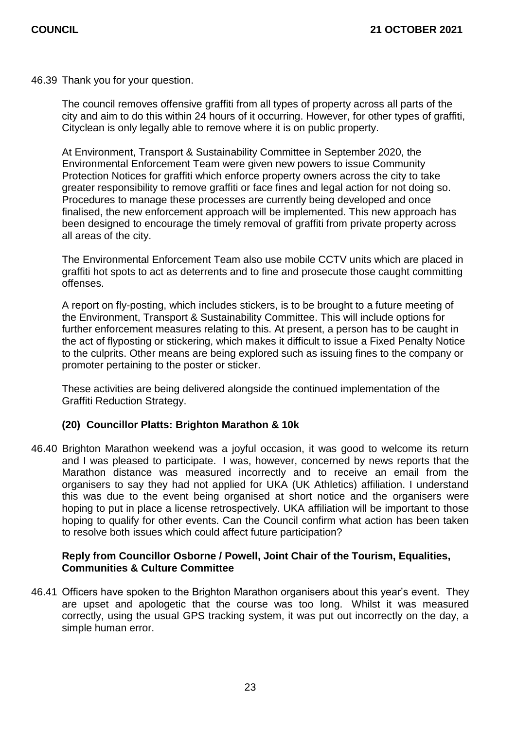46.39 Thank you for your question.

The council removes offensive graffiti from all types of property across all parts of the city and aim to do this within 24 hours of it occurring. However, for other types of graffiti, Cityclean is only legally able to remove where it is on public property.

At Environment, Transport & Sustainability Committee in September 2020, the Environmental Enforcement Team were given new powers to issue Community Protection Notices for graffiti which enforce property owners across the city to take greater responsibility to remove graffiti or face fines and legal action for not doing so. Procedures to manage these processes are currently being developed and once finalised, the new enforcement approach will be implemented. This new approach has been designed to encourage the timely removal of graffiti from private property across all areas of the city.

The Environmental Enforcement Team also use mobile CCTV units which are placed in graffiti hot spots to act as deterrents and to fine and prosecute those caught committing offenses.

A report on fly-posting, which includes stickers, is to be brought to a future meeting of the Environment, Transport & Sustainability Committee. This will include options for further enforcement measures relating to this. At present, a person has to be caught in the act of flyposting or stickering, which makes it difficult to issue a Fixed Penalty Notice to the culprits. Other means are being explored such as issuing fines to the company or promoter pertaining to the poster or sticker.

These activities are being delivered alongside the continued implementation of the Graffiti Reduction Strategy.

# **(20) Councillor Platts: Brighton Marathon & 10k**

46.40 Brighton Marathon weekend was a joyful occasion, it was good to welcome its return and I was pleased to participate. I was, however, concerned by news reports that the Marathon distance was measured incorrectly and to receive an email from the organisers to say they had not applied for UKA (UK Athletics) affiliation. I understand this was due to the event being organised at short notice and the organisers were hoping to put in place a license retrospectively. UKA affiliation will be important to those hoping to qualify for other events. Can the Council confirm what action has been taken to resolve both issues which could affect future participation?

# **Reply from Councillor Osborne / Powell, Joint Chair of the Tourism, Equalities, Communities & Culture Committee**

46.41 Officers have spoken to the Brighton Marathon organisers about this year's event. They are upset and apologetic that the course was too long. Whilst it was measured correctly, using the usual GPS tracking system, it was put out incorrectly on the day, a simple human error.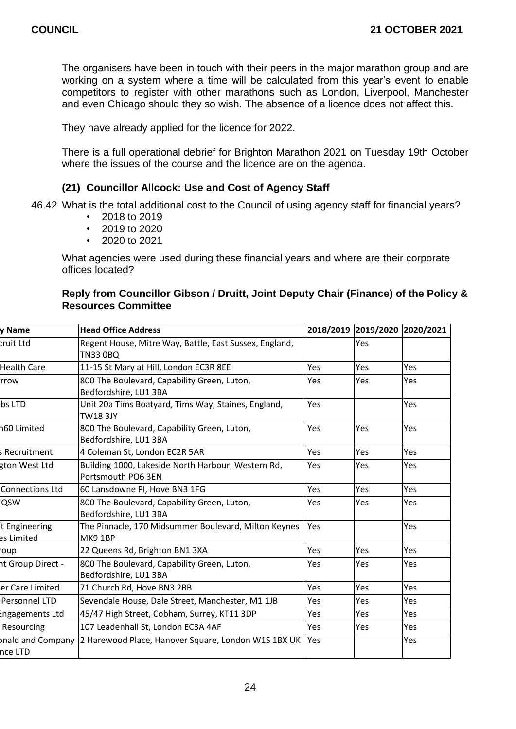The organisers have been in touch with their peers in the major marathon group and are working on a system where a time will be calculated from this year's event to enable competitors to register with other marathons such as London, Liverpool, Manchester and even Chicago should they so wish. The absence of a licence does not affect this.

They have already applied for the licence for 2022.

There is a full operational debrief for Brighton Marathon 2021 on Tuesday 19th October where the issues of the course and the licence are on the agenda.

# **(21) Councillor Allcock: Use and Cost of Agency Staff**

46.42 What is the total additional cost to the Council of using agency staff for financial years?

- 2018 to 2019
- 2019 to 2020
- 2020 to 2021

What agencies were used during these financial years and where are their corporate offices located?

## **Reply from Councillor Gibson / Druitt, Joint Deputy Chair (Finance) of the Policy & Resources Committee**

| v Name                      | <b>Head Office Address</b>                                                |     | 2018/2019 2019/2020 2020/2021 |            |
|-----------------------------|---------------------------------------------------------------------------|-----|-------------------------------|------------|
| cruit Ltd                   | Regent House, Mitre Way, Battle, East Sussex, England,<br><b>TN33 0BQ</b> |     | Yes                           |            |
| <b>Health Care</b>          | 11-15 St Mary at Hill, London EC3R 8EE                                    | Yes | Yes                           | Yes        |
| rrow                        | 800 The Boulevard, Capability Green, Luton,<br>Bedfordshire, LU1 3BA      | Yes | <b>Yes</b>                    | Yes        |
| bs LTD                      | Unit 20a Tims Boatyard, Tims Way, Staines, England,<br><b>TW18 3JY</b>    | Yes |                               | <b>Yes</b> |
| 160 Limited                 | 800 The Boulevard, Capability Green, Luton,<br>Bedfordshire, LU1 3BA      | Yes | <b>Yes</b>                    | Yes        |
| s Recruitment               | 4 Coleman St, London EC2R 5AR                                             | Yes | Yes                           | Yes        |
| gton West Ltd               | Building 1000, Lakeside North Harbour, Western Rd,<br>Portsmouth PO6 3EN  | Yes | Yes                           | Yes        |
| <b>Connections Ltd</b>      | 60 Lansdowne Pl, Hove BN3 1FG                                             | Yes | Yes                           | Yes        |
| QSW                         | 800 The Boulevard, Capability Green, Luton,<br>Bedfordshire, LU1 3BA      | Yes | Yes                           | Yes        |
| t Engineering<br>es Limited | The Pinnacle, 170 Midsummer Boulevard, Milton Keynes<br>MK9 1BP           | Yes |                               | Yes        |
| oup                         | 22 Queens Rd, Brighton BN1 3XA                                            | Yes | Yes                           | Yes        |
| ht Group Direct -           | 800 The Boulevard, Capability Green, Luton,<br>Bedfordshire, LU1 3BA      | Yes | <b>Yes</b>                    | Yes        |
| er Care Limited             | 71 Church Rd, Hove BN3 2BB                                                | Yes | Yes                           | Yes        |
| Personnel LTD               | Sevendale House, Dale Street, Manchester, M1 1JB                          | Yes | Yes                           | Yes        |
| <b>Engagements Ltd</b>      | 45/47 High Street, Cobham, Surrey, KT11 3DP                               | Yes | Yes                           | Yes        |
| Resourcing                  | 107 Leadenhall St, London EC3A 4AF                                        | Yes | Yes                           | Yes        |
| nce LTD                     | pnald and Company  2 Harewood Place, Hanover Square, London W1S 1BX UK    | Yes |                               | Yes        |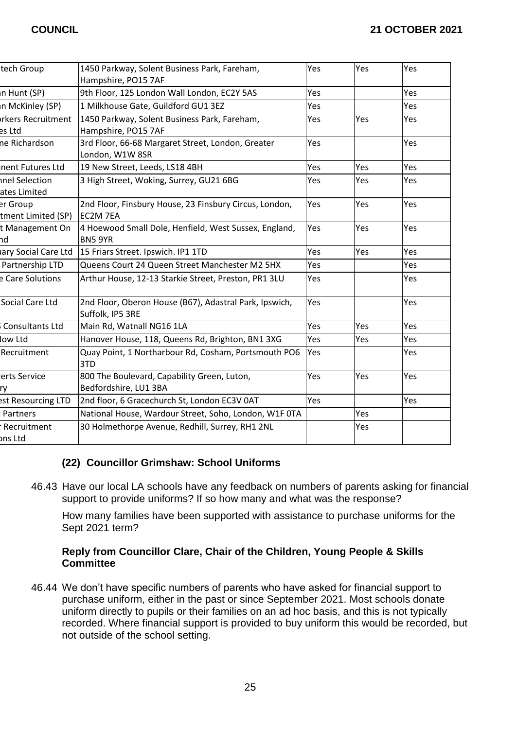| tech Group                           | 1450 Parkway, Solent Business Park, Fareham,<br>Hampshire, PO15 7AF        | Yes | Yes        | Yes |
|--------------------------------------|----------------------------------------------------------------------------|-----|------------|-----|
| n Hunt (SP)                          | 9th Floor, 125 London Wall London, EC2Y 5AS                                | Yes |            | Yes |
| n McKinley (SP)                      | 1 Milkhouse Gate, Guildford GU1 3EZ                                        | Yes |            | Yes |
| <b>Irkers Recruitment</b><br>es Ltd  | 1450 Parkway, Solent Business Park, Fareham,<br>Hampshire, PO15 7AF        | Yes | Yes        | Yes |
| ne Richardson                        | 3rd Floor, 66-68 Margaret Street, London, Greater<br>London, W1W 8SR       | Yes |            | Yes |
| nent Futures Ltd                     | 19 New Street, Leeds, LS18 4BH                                             | Yes | <b>Yes</b> | Yes |
| <b>nel Selection</b><br>ates Limited | 3 High Street, Woking, Surrey, GU21 6BG                                    | Yes | Yes        | Yes |
| er Group<br>tment Limited (SP)       | 2nd Floor, Finsbury House, 23 Finsbury Circus, London,<br>EC2M 7EA         | Yes | Yes        | Yes |
| t Management On<br>hd                | 4 Hoewood Small Dole, Henfield, West Sussex, England,<br><b>BN5 9YR</b>    | Yes | Yes        | Yes |
| ary Social Care Ltd                  | 15 Friars Street. Ipswich. IP1 1TD                                         | Yes | Yes        | Yes |
| Partnership LTD                      | Queens Court 24 Queen Street Manchester M2 5HX                             | Yes |            | Yes |
| <b>E</b> Care Solutions              | Arthur House, 12-13 Starkie Street, Preston, PR1 3LU                       | Yes |            | Yes |
| Social Care Ltd                      | 2nd Floor, Oberon House (B67), Adastral Park, Ipswich,<br>Suffolk, IP5 3RE | Yes |            | Yes |
| Consultants Ltd                      | Main Rd, Watnall NG16 1LA                                                  | Yes | Yes        | Yes |
| ow Ltd                               | Hanover House, 118, Queens Rd, Brighton, BN1 3XG                           | Yes | Yes        | Yes |
| Recruitment                          | Quay Point, 1 Northarbour Rd, Cosham, Portsmouth PO6<br>3TD                | Yes |            | Yes |
| erts Service<br>ry                   | 800 The Boulevard, Capability Green, Luton,<br>Bedfordshire, LU1 3BA       | Yes | Yes        | Yes |
| est Resourcing LTD                   | 2nd floor, 6 Gracechurch St, London EC3V 0AT                               | Yes |            | Yes |
| Partners                             | National House, Wardour Street, Soho, London, W1F 0TA                      |     | Yes        |     |
| Recruitment<br>ons Ltd               | 30 Holmethorpe Avenue, Redhill, Surrey, RH1 2NL                            |     | Yes        |     |

# **(22) Councillor Grimshaw: School Uniforms**

46.43 Have our local LA schools have any feedback on numbers of parents asking for financial support to provide uniforms? If so how many and what was the response?

How many families have been supported with assistance to purchase uniforms for the Sept 2021 term?

# **Reply from Councillor Clare, Chair of the Children, Young People & Skills Committee**

46.44 We don't have specific numbers of parents who have asked for financial support to purchase uniform, either in the past or since September 2021. Most schools donate uniform directly to pupils or their families on an ad hoc basis, and this is not typically recorded. Where financial support is provided to buy uniform this would be recorded, but not outside of the school setting.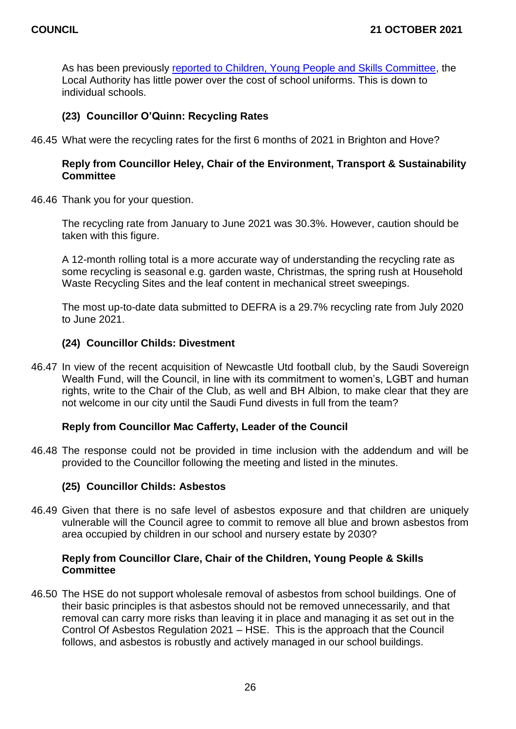As has been previously [reported to Children, Young People and Skills Committee,](https://present.brighton-hove.gov.uk/documents/s162266/School%20Uniform.pdf) the Local Authority has little power over the cost of school uniforms. This is down to individual schools.

# **(23) Councillor O'Quinn: Recycling Rates**

46.45 What were the recycling rates for the first 6 months of 2021 in Brighton and Hove?

# **Reply from Councillor Heley, Chair of the Environment, Transport & Sustainability Committee**

46.46 Thank you for your question.

The recycling rate from January to June 2021 was 30.3%. However, caution should be taken with this figure.

A 12-month rolling total is a more accurate way of understanding the recycling rate as some recycling is seasonal e.g. garden waste. Christmas, the spring rush at Household Waste Recycling Sites and the leaf content in mechanical street sweepings.

The most up-to-date data submitted to DEFRA is a 29.7% recycling rate from July 2020 to June 2021.

#### **(24) Councillor Childs: Divestment**

46.47 In view of the recent acquisition of Newcastle Utd football club, by the Saudi Sovereign Wealth Fund, will the Council, in line with its commitment to women's, LGBT and human rights, write to the Chair of the Club, as well and BH Albion, to make clear that they are not welcome in our city until the Saudi Fund divests in full from the team?

#### **Reply from Councillor Mac Cafferty, Leader of the Council**

46.48 The response could not be provided in time inclusion with the addendum and will be provided to the Councillor following the meeting and listed in the minutes.

# **(25) Councillor Childs: Asbestos**

46.49 Given that there is no safe level of asbestos exposure and that children are uniquely vulnerable will the Council agree to commit to remove all blue and brown asbestos from area occupied by children in our school and nursery estate by 2030?

#### **Reply from Councillor Clare, Chair of the Children, Young People & Skills Committee**

46.50 The HSE do not support wholesale removal of asbestos from school buildings. One of their basic principles is that asbestos should not be removed unnecessarily, and that removal can carry more risks than leaving it in place and managing it as set out in the Control Of Asbestos Regulation 2021 – HSE. This is the approach that the Council follows, and asbestos is robustly and actively managed in our school buildings.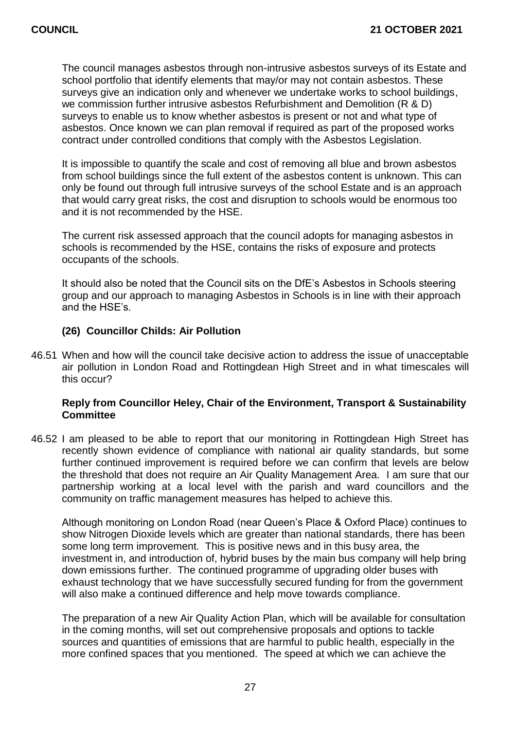The council manages asbestos through non-intrusive asbestos surveys of its Estate and school portfolio that identify elements that may/or may not contain asbestos. These surveys give an indication only and whenever we undertake works to school buildings, we commission further intrusive asbestos Refurbishment and Demolition (R & D) surveys to enable us to know whether asbestos is present or not and what type of asbestos. Once known we can plan removal if required as part of the proposed works contract under controlled conditions that comply with the Asbestos Legislation.

It is impossible to quantify the scale and cost of removing all blue and brown asbestos from school buildings since the full extent of the asbestos content is unknown. This can only be found out through full intrusive surveys of the school Estate and is an approach that would carry great risks, the cost and disruption to schools would be enormous too and it is not recommended by the HSE.

The current risk assessed approach that the council adopts for managing asbestos in schools is recommended by the HSE, contains the risks of exposure and protects occupants of the schools.

It should also be noted that the Council sits on the DfE's Asbestos in Schools steering group and our approach to managing Asbestos in Schools is in line with their approach and the HSE's.

#### **(26) Councillor Childs: Air Pollution**

46.51 When and how will the council take decisive action to address the issue of unacceptable air pollution in London Road and Rottingdean High Street and in what timescales will this occur?

# **Reply from Councillor Heley, Chair of the Environment, Transport & Sustainability Committee**

46.52 I am pleased to be able to report that our monitoring in Rottingdean High Street has recently shown evidence of compliance with national air quality standards, but some further continued improvement is required before we can confirm that levels are below the threshold that does not require an Air Quality Management Area. I am sure that our partnership working at a local level with the parish and ward councillors and the community on traffic management measures has helped to achieve this.

Although monitoring on London Road (near Queen's Place & Oxford Place) continues to show Nitrogen Dioxide levels which are greater than national standards, there has been some long term improvement. This is positive news and in this busy area, the investment in, and introduction of, hybrid buses by the main bus company will help bring down emissions further. The continued programme of upgrading older buses with exhaust technology that we have successfully secured funding for from the government will also make a continued difference and help move towards compliance.

The preparation of a new Air Quality Action Plan, which will be available for consultation in the coming months, will set out comprehensive proposals and options to tackle sources and quantities of emissions that are harmful to public health, especially in the more confined spaces that you mentioned. The speed at which we can achieve the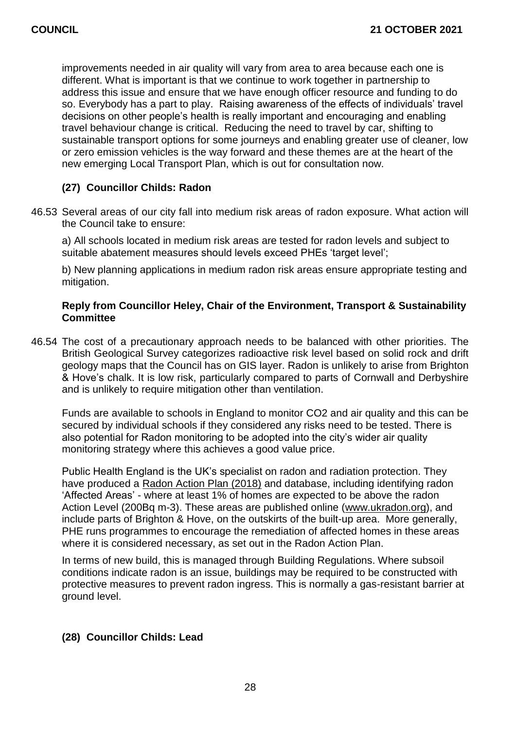improvements needed in air quality will vary from area to area because each one is different. What is important is that we continue to work together in partnership to address this issue and ensure that we have enough officer resource and funding to do so. Everybody has a part to play. Raising awareness of the effects of individuals' travel decisions on other people's health is really important and encouraging and enabling travel behaviour change is critical. Reducing the need to travel by car, shifting to sustainable transport options for some journeys and enabling greater use of cleaner, low or zero emission vehicles is the way forward and these themes are at the heart of the new emerging Local Transport Plan, which is out for consultation now.

# **(27) Councillor Childs: Radon**

46.53 Several areas of our city fall into medium risk areas of radon exposure. What action will the Council take to ensure:

a) All schools located in medium risk areas are tested for radon levels and subject to suitable abatement measures should levels exceed PHEs 'target level';

b) New planning applications in medium radon risk areas ensure appropriate testing and mitigation.

# **Reply from Councillor Heley, Chair of the Environment, Transport & Sustainability Committee**

46.54 The cost of a precautionary approach needs to be balanced with other priorities. The British Geological Survey categorizes radioactive risk level based on solid rock and drift geology maps that the Council has on GIS layer. Radon is unlikely to arise from Brighton & Hove's chalk. It is low risk, particularly compared to parts of Cornwall and Derbyshire and is unlikely to require mitigation other than ventilation.

Funds are available to schools in England to monitor CO2 and air quality and this can be secured by individual schools if they considered any risks need to be tested. There is also potential for Radon monitoring to be adopted into the city's wider air quality monitoring strategy where this achieves a good value price.

Public Health England is the UK's specialist on radon and radiation protection. They have produced a [Radon Action Plan \(2018\)](https://assets.publishing.service.gov.uk/government/uploads/system/uploads/attachment_data/file/766090/UK_National_Radon_Action_Plan.pdf) and database, including identifying radon 'Affected Areas' - where at least 1% of homes are expected to be above the radon Action Level (200Bq m-3). These areas are published online [\(www.ukradon.org\)](http://www.ukradon.org/), and include parts of Brighton & Hove, on the outskirts of the built-up area. More generally, PHE runs programmes to encourage the remediation of affected homes in these areas where it is considered necessary, as set out in the Radon Action Plan.

In terms of new build, this is managed through Building Regulations. Where subsoil conditions indicate radon is an issue, buildings may be required to be constructed with protective measures to prevent radon ingress. This is normally a gas-resistant barrier at ground level.

# **(28) Councillor Childs: Lead**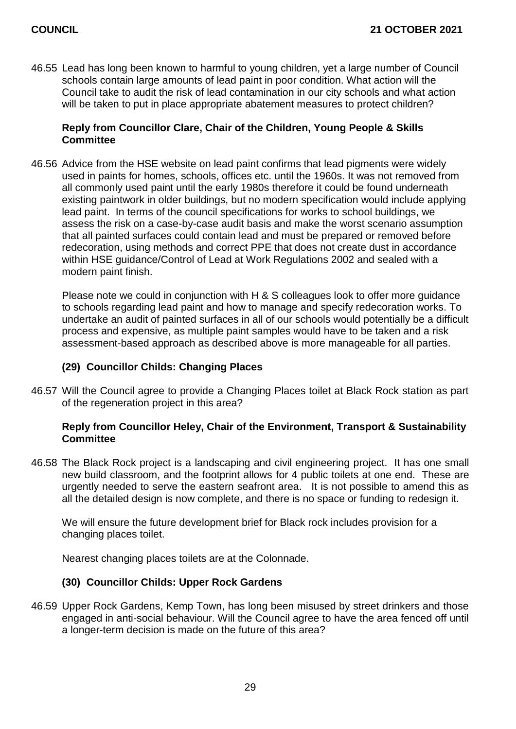46.55 Lead has long been known to harmful to young children, yet a large number of Council schools contain large amounts of lead paint in poor condition. What action will the Council take to audit the risk of lead contamination in our city schools and what action will be taken to put in place appropriate abatement measures to protect children?

# **Reply from Councillor Clare, Chair of the Children, Young People & Skills Committee**

46.56 Advice from the HSE website on lead paint confirms that lead pigments were widely used in paints for homes, schools, offices etc. until the 1960s. It was not removed from all commonly used paint until the early 1980s therefore it could be found underneath existing paintwork in older buildings, but no modern specification would include applying lead paint. In terms of the council specifications for works to school buildings, we assess the risk on a case-by-case audit basis and make the worst scenario assumption that all painted surfaces could contain lead and must be prepared or removed before redecoration, using methods and correct PPE that does not create dust in accordance within HSE guidance/Control of Lead at Work Regulations 2002 and sealed with a modern paint finish.

Please note we could in conjunction with H & S colleagues look to offer more guidance to schools regarding lead paint and how to manage and specify redecoration works. To undertake an audit of painted surfaces in all of our schools would potentially be a difficult process and expensive, as multiple paint samples would have to be taken and a risk assessment-based approach as described above is more manageable for all parties.

# **(29) Councillor Childs: Changing Places**

46.57 Will the Council agree to provide a Changing Places toilet at Black Rock station as part of the regeneration project in this area?

# **Reply from Councillor Heley, Chair of the Environment, Transport & Sustainability Committee**

46.58 The Black Rock project is a landscaping and civil engineering project. It has one small new build classroom, and the footprint allows for 4 public toilets at one end. These are urgently needed to serve the eastern seafront area. It is not possible to amend this as all the detailed design is now complete, and there is no space or funding to redesign it.

We will ensure the future development brief for Black rock includes provision for a changing places toilet.

Nearest changing places toilets are at the Colonnade.

# **(30) Councillor Childs: Upper Rock Gardens**

46.59 Upper Rock Gardens, Kemp Town, has long been misused by street drinkers and those engaged in anti-social behaviour. Will the Council agree to have the area fenced off until a longer-term decision is made on the future of this area?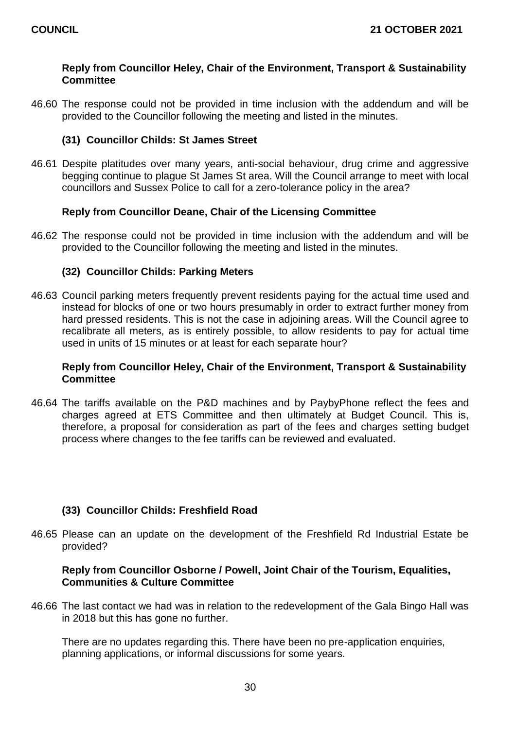# **Reply from Councillor Heley, Chair of the Environment, Transport & Sustainability Committee**

46.60 The response could not be provided in time inclusion with the addendum and will be provided to the Councillor following the meeting and listed in the minutes.

# **(31) Councillor Childs: St James Street**

46.61 Despite platitudes over many years, anti-social behaviour, drug crime and aggressive begging continue to plague St James St area. Will the Council arrange to meet with local councillors and Sussex Police to call for a zero-tolerance policy in the area?

# **Reply from Councillor Deane, Chair of the Licensing Committee**

46.62 The response could not be provided in time inclusion with the addendum and will be provided to the Councillor following the meeting and listed in the minutes.

#### **(32) Councillor Childs: Parking Meters**

46.63 Council parking meters frequently prevent residents paying for the actual time used and instead for blocks of one or two hours presumably in order to extract further money from hard pressed residents. This is not the case in adjoining areas. Will the Council agree to recalibrate all meters, as is entirely possible, to allow residents to pay for actual time used in units of 15 minutes or at least for each separate hour?

# **Reply from Councillor Heley, Chair of the Environment, Transport & Sustainability Committee**

46.64 The tariffs available on the P&D machines and by PaybyPhone reflect the fees and charges agreed at ETS Committee and then ultimately at Budget Council. This is, therefore, a proposal for consideration as part of the fees and charges setting budget process where changes to the fee tariffs can be reviewed and evaluated.

# **(33) Councillor Childs: Freshfield Road**

46.65 Please can an update on the development of the Freshfield Rd Industrial Estate be provided?

# **Reply from Councillor Osborne / Powell, Joint Chair of the Tourism, Equalities, Communities & Culture Committee**

46.66 The last contact we had was in relation to the redevelopment of the Gala Bingo Hall was in 2018 but this has gone no further.

There are no updates regarding this. There have been no pre-application enquiries, planning applications, or informal discussions for some years.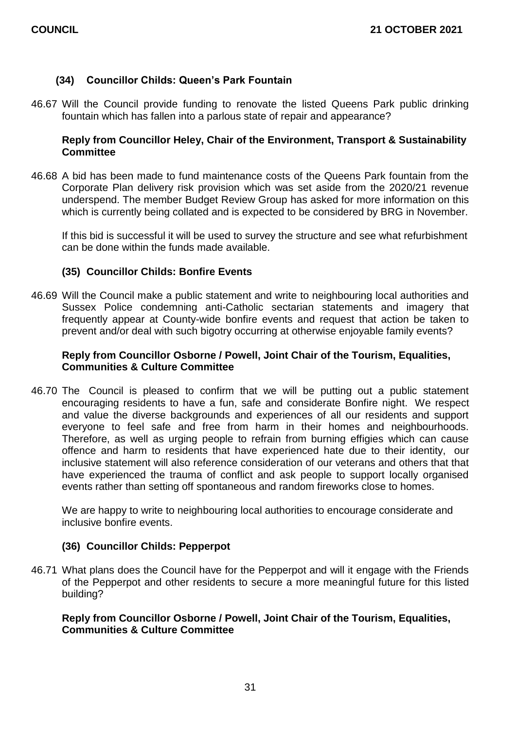# **(34) Councillor Childs: Queen's Park Fountain**

46.67 Will the Council provide funding to renovate the listed Queens Park public drinking fountain which has fallen into a parlous state of repair and appearance?

## **Reply from Councillor Heley, Chair of the Environment, Transport & Sustainability Committee**

46.68 A bid has been made to fund maintenance costs of the Queens Park fountain from the Corporate Plan delivery risk provision which was set aside from the 2020/21 revenue underspend. The member Budget Review Group has asked for more information on this which is currently being collated and is expected to be considered by BRG in November.

If this bid is successful it will be used to survey the structure and see what refurbishment can be done within the funds made available.

#### **(35) Councillor Childs: Bonfire Events**

46.69 Will the Council make a public statement and write to neighbouring local authorities and Sussex Police condemning anti-Catholic sectarian statements and imagery that frequently appear at County-wide bonfire events and request that action be taken to prevent and/or deal with such bigotry occurring at otherwise enjoyable family events?

# **Reply from Councillor Osborne / Powell, Joint Chair of the Tourism, Equalities, Communities & Culture Committee**

46.70 The Council is pleased to confirm that we will be putting out a public statement encouraging residents to have a fun, safe and considerate Bonfire night. We respect and value the diverse backgrounds and experiences of all our residents and support everyone to feel safe and free from harm in their homes and neighbourhoods. Therefore, as well as urging people to refrain from burning effigies which can cause offence and harm to residents that have experienced hate due to their identity, our inclusive statement will also reference consideration of our veterans and others that that have experienced the trauma of conflict and ask people to support locally organised events rather than setting off spontaneous and random fireworks close to homes.

We are happy to write to neighbouring local authorities to encourage considerate and inclusive bonfire events.

# **(36) Councillor Childs: Pepperpot**

46.71 What plans does the Council have for the Pepperpot and will it engage with the Friends of the Pepperpot and other residents to secure a more meaningful future for this listed building?

#### **Reply from Councillor Osborne / Powell, Joint Chair of the Tourism, Equalities, Communities & Culture Committee**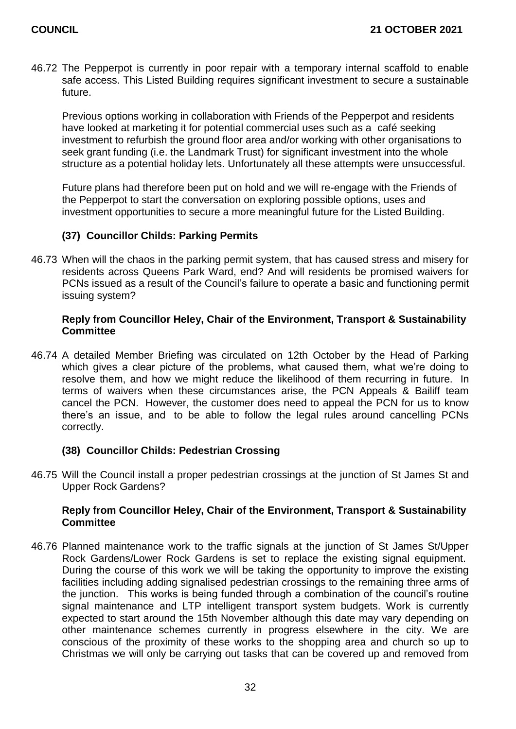46.72 The Pepperpot is currently in poor repair with a temporary internal scaffold to enable safe access. This Listed Building requires significant investment to secure a sustainable future.

Previous options working in collaboration with Friends of the Pepperpot and residents have looked at marketing it for potential commercial uses such as a café seeking investment to refurbish the ground floor area and/or working with other organisations to seek grant funding (i.e. the Landmark Trust) for significant investment into the whole structure as a potential holiday lets. Unfortunately all these attempts were unsuccessful.

Future plans had therefore been put on hold and we will re-engage with the Friends of the Pepperpot to start the conversation on exploring possible options, uses and investment opportunities to secure a more meaningful future for the Listed Building.

# **(37) Councillor Childs: Parking Permits**

46.73 When will the chaos in the parking permit system, that has caused stress and misery for residents across Queens Park Ward, end? And will residents be promised waivers for PCNs issued as a result of the Council's failure to operate a basic and functioning permit issuing system?

# **Reply from Councillor Heley, Chair of the Environment, Transport & Sustainability Committee**

46.74 A detailed Member Briefing was circulated on 12th October by the Head of Parking which gives a clear picture of the problems, what caused them, what we're doing to resolve them, and how we might reduce the likelihood of them recurring in future. In terms of waivers when these circumstances arise, the PCN Appeals & Bailiff team cancel the PCN. However, the customer does need to appeal the PCN for us to know there's an issue, and to be able to follow the legal rules around cancelling PCNs correctly.

# **(38) Councillor Childs: Pedestrian Crossing**

46.75 Will the Council install a proper pedestrian crossings at the junction of St James St and Upper Rock Gardens?

# **Reply from Councillor Heley, Chair of the Environment, Transport & Sustainability Committee**

46.76 Planned maintenance work to the traffic signals at the junction of St James St/Upper Rock Gardens/Lower Rock Gardens is set to replace the existing signal equipment. During the course of this work we will be taking the opportunity to improve the existing facilities including adding signalised pedestrian crossings to the remaining three arms of the junction. This works is being funded through a combination of the council's routine signal maintenance and LTP intelligent transport system budgets. Work is currently expected to start around the 15th November although this date may vary depending on other maintenance schemes currently in progress elsewhere in the city. We are conscious of the proximity of these works to the shopping area and church so up to Christmas we will only be carrying out tasks that can be covered up and removed from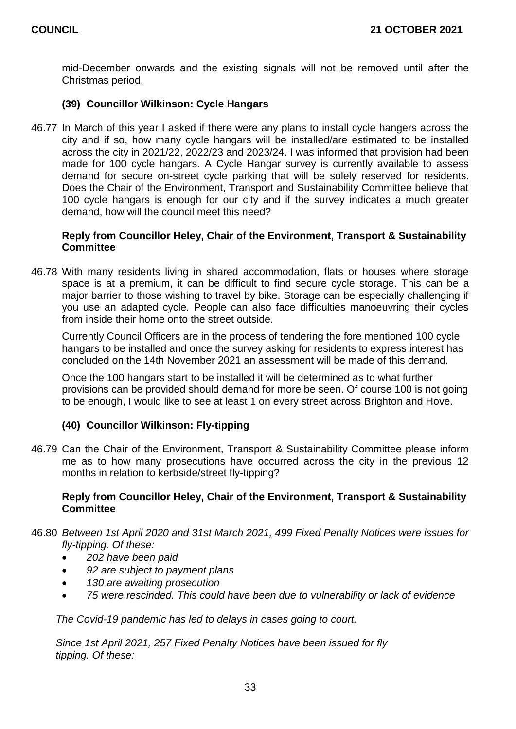mid-December onwards and the existing signals will not be removed until after the Christmas period.

# **(39) Councillor Wilkinson: Cycle Hangars**

46.77 In March of this year I asked if there were any plans to install cycle hangers across the city and if so, how many cycle hangars will be installed/are estimated to be installed across the city in 2021/22, 2022/23 and 2023/24. I was informed that provision had been made for 100 cycle hangars. A Cycle Hangar survey is currently available to assess demand for secure on-street cycle parking that will be solely reserved for residents. Does the Chair of the Environment, Transport and Sustainability Committee believe that 100 cycle hangars is enough for our city and if the survey indicates a much greater demand, how will the council meet this need?

# **Reply from Councillor Heley, Chair of the Environment, Transport & Sustainability Committee**

46.78 With many residents living in shared accommodation, flats or houses where storage space is at a premium, it can be difficult to find secure cycle storage. This can be a major barrier to those wishing to travel by bike. Storage can be especially challenging if you use an adapted cycle. People can also face difficulties manoeuvring their cycles from inside their home onto the street outside.

Currently Council Officers are in the process of tendering the fore mentioned 100 cycle hangars to be installed and once the survey asking for residents to express interest has concluded on the 14th November 2021 an assessment will be made of this demand.

Once the 100 hangars start to be installed it will be determined as to what further provisions can be provided should demand for more be seen. Of course 100 is not going to be enough, I would like to see at least 1 on every street across Brighton and Hove.

# **(40) Councillor Wilkinson: Fly-tipping**

46.79 Can the Chair of the Environment, Transport & Sustainability Committee please inform me as to how many prosecutions have occurred across the city in the previous 12 months in relation to kerbside/street fly-tipping?

# **Reply from Councillor Heley, Chair of the Environment, Transport & Sustainability Committee**

- 46.80 *Between 1st April 2020 and 31st March 2021, 499 Fixed Penalty Notices were issues for fly-tipping. Of these:*
	- *202 have been paid*
	- *92 are subject to payment plans*
	- *130 are awaiting prosecution*
	- *75 were rescinded. This could have been due to vulnerability or lack of evidence*

*The Covid-19 pandemic has led to delays in cases going to court.*

*Since 1st April 2021, 257 Fixed Penalty Notices have been issued for fly tipping. Of these:*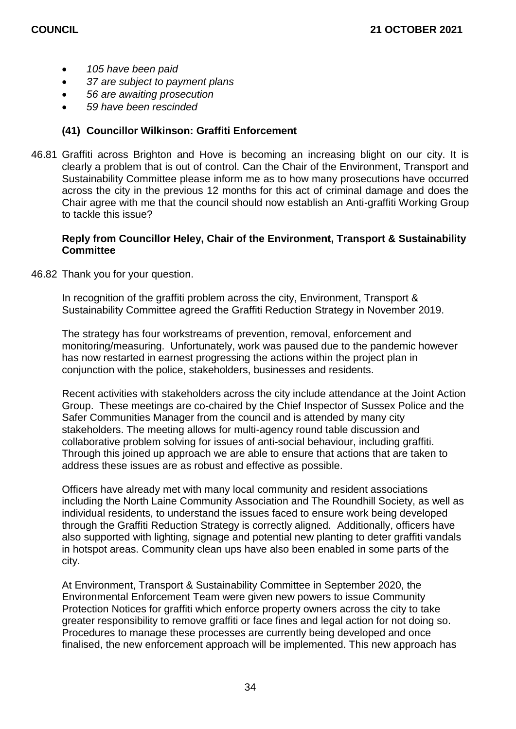- *105 have been paid*
- *37 are subject to payment plans*
- *56 are awaiting prosecution*
- *59 have been rescinded*

# **(41) Councillor Wilkinson: Graffiti Enforcement**

46.81 Graffiti across Brighton and Hove is becoming an increasing blight on our city. It is clearly a problem that is out of control. Can the Chair of the Environment, Transport and Sustainability Committee please inform me as to how many prosecutions have occurred across the city in the previous 12 months for this act of criminal damage and does the Chair agree with me that the council should now establish an Anti-graffiti Working Group to tackle this issue?

## **Reply from Councillor Heley, Chair of the Environment, Transport & Sustainability Committee**

46.82 Thank you for your question.

In recognition of the graffiti problem across the city, Environment, Transport & Sustainability Committee agreed the Graffiti Reduction Strategy in November 2019.

The strategy has four workstreams of prevention, removal, enforcement and monitoring/measuring. Unfortunately, work was paused due to the pandemic however has now restarted in earnest progressing the actions within the project plan in conjunction with the police, stakeholders, businesses and residents.

Recent activities with stakeholders across the city include attendance at the Joint Action Group. These meetings are co-chaired by the Chief Inspector of Sussex Police and the Safer Communities Manager from the council and is attended by many city stakeholders. The meeting allows for multi-agency round table discussion and collaborative problem solving for issues of anti-social behaviour, including graffiti. Through this joined up approach we are able to ensure that actions that are taken to address these issues are as robust and effective as possible.

Officers have already met with many local community and resident associations including the North Laine Community Association and The Roundhill Society, as well as individual residents, to understand the issues faced to ensure work being developed through the Graffiti Reduction Strategy is correctly aligned. Additionally, officers have also supported with lighting, signage and potential new planting to deter graffiti vandals in hotspot areas. Community clean ups have also been enabled in some parts of the city.

At Environment, Transport & Sustainability Committee in September 2020, the Environmental Enforcement Team were given new powers to issue Community Protection Notices for graffiti which enforce property owners across the city to take greater responsibility to remove graffiti or face fines and legal action for not doing so. Procedures to manage these processes are currently being developed and once finalised, the new enforcement approach will be implemented. This new approach has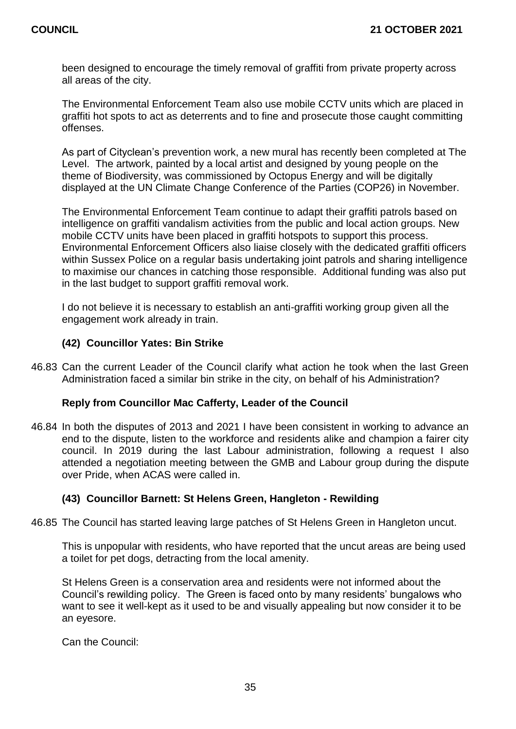been designed to encourage the timely removal of graffiti from private property across all areas of the city.

The Environmental Enforcement Team also use mobile CCTV units which are placed in graffiti hot spots to act as deterrents and to fine and prosecute those caught committing offenses.

As part of Cityclean's prevention work, a new mural has recently been completed at The Level. The artwork, painted by a local artist and designed by young people on the theme of Biodiversity, was commissioned by Octopus Energy and will be digitally displayed at the UN Climate Change Conference of the Parties (COP26) in November.

The Environmental Enforcement Team continue to adapt their graffiti patrols based on intelligence on graffiti vandalism activities from the public and local action groups. New mobile CCTV units have been placed in graffiti hotspots to support this process. Environmental Enforcement Officers also liaise closely with the dedicated graffiti officers within Sussex Police on a regular basis undertaking joint patrols and sharing intelligence to maximise our chances in catching those responsible. Additional funding was also put in the last budget to support graffiti removal work.

I do not believe it is necessary to establish an anti-graffiti working group given all the engagement work already in train.

# **(42) Councillor Yates: Bin Strike**

46.83 Can the current Leader of the Council clarify what action he took when the last Green Administration faced a similar bin strike in the city, on behalf of his Administration?

# **Reply from Councillor Mac Cafferty, Leader of the Council**

46.84 In both the disputes of 2013 and 2021 I have been consistent in working to advance an end to the dispute, listen to the workforce and residents alike and champion a fairer city council. In 2019 during the last Labour administration, following a request I also attended a negotiation meeting between the GMB and Labour group during the dispute over Pride, when ACAS were called in.

# **(43) Councillor Barnett: St Helens Green, Hangleton - Rewilding**

46.85 The Council has started leaving large patches of St Helens Green in Hangleton uncut.

This is unpopular with residents, who have reported that the uncut areas are being used a toilet for pet dogs, detracting from the local amenity.

St Helens Green is a conservation area and residents were not informed about the Council's rewilding policy. The Green is faced onto by many residents' bungalows who want to see it well-kept as it used to be and visually appealing but now consider it to be an eyesore.

Can the Council: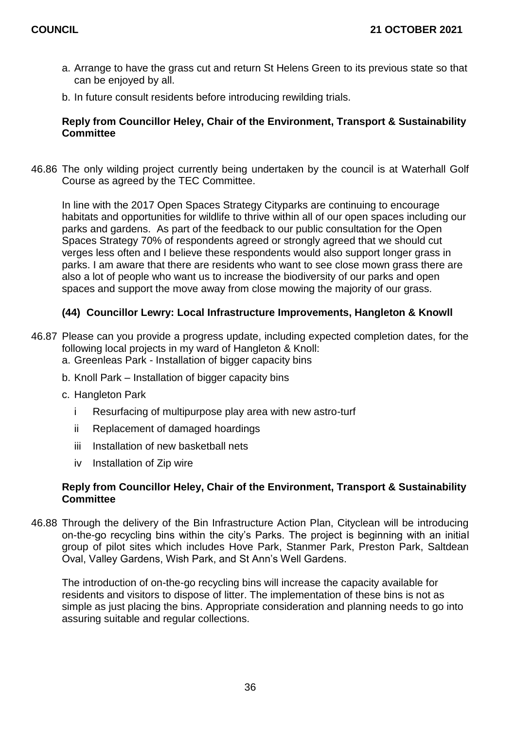- a. Arrange to have the grass cut and return St Helens Green to its previous state so that can be enjoyed by all.
- b. In future consult residents before introducing rewilding trials.

# **Reply from Councillor Heley, Chair of the Environment, Transport & Sustainability Committee**

46.86 The only wilding project currently being undertaken by the council is at Waterhall Golf Course as agreed by the TEC Committee.

In line with the 2017 Open Spaces Strategy Cityparks are continuing to encourage habitats and opportunities for wildlife to thrive within all of our open spaces including our parks and gardens. As part of the feedback to our public consultation for the Open Spaces Strategy 70% of respondents agreed or strongly agreed that we should cut verges less often and I believe these respondents would also support longer grass in parks. I am aware that there are residents who want to see close mown grass there are also a lot of people who want us to increase the biodiversity of our parks and open spaces and support the move away from close mowing the majority of our grass.

# **(44) Councillor Lewry: Local Infrastructure Improvements, Hangleton & Knowll**

- 46.87 Please can you provide a progress update, including expected completion dates, for the following local projects in my ward of Hangleton & Knoll:
	- a. Greenleas Park Installation of bigger capacity bins
	- b. Knoll Park Installation of bigger capacity bins
	- c. Hangleton Park
		- i Resurfacing of multipurpose play area with new astro-turf
		- ii Replacement of damaged hoardings
		- iii Installation of new basketball nets
		- iv Installation of Zip wire

#### **Reply from Councillor Heley, Chair of the Environment, Transport & Sustainability Committee**

46.88 Through the delivery of the Bin Infrastructure Action Plan, Cityclean will be introducing on-the-go recycling bins within the city's Parks. The project is beginning with an initial group of pilot sites which includes Hove Park, Stanmer Park, Preston Park, Saltdean Oval, Valley Gardens, Wish Park, and St Ann's Well Gardens.

The introduction of on-the-go recycling bins will increase the capacity available for residents and visitors to dispose of litter. The implementation of these bins is not as simple as just placing the bins. Appropriate consideration and planning needs to go into assuring suitable and regular collections.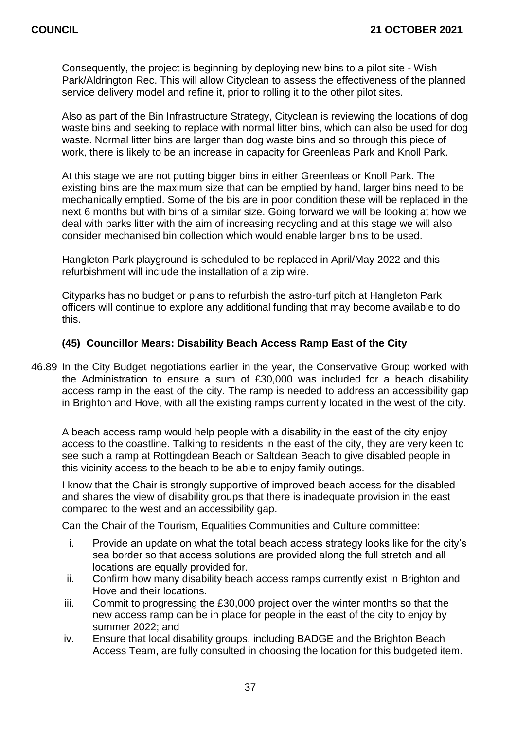Consequently, the project is beginning by deploying new bins to a pilot site - Wish Park/Aldrington Rec. This will allow Cityclean to assess the effectiveness of the planned service delivery model and refine it, prior to rolling it to the other pilot sites.

Also as part of the Bin Infrastructure Strategy, Cityclean is reviewing the locations of dog waste bins and seeking to replace with normal litter bins, which can also be used for dog waste. Normal litter bins are larger than dog waste bins and so through this piece of work, there is likely to be an increase in capacity for Greenleas Park and Knoll Park.

At this stage we are not putting bigger bins in either Greenleas or Knoll Park. The existing bins are the maximum size that can be emptied by hand, larger bins need to be mechanically emptied. Some of the bis are in poor condition these will be replaced in the next 6 months but with bins of a similar size. Going forward we will be looking at how we deal with parks litter with the aim of increasing recycling and at this stage we will also consider mechanised bin collection which would enable larger bins to be used.

Hangleton Park playground is scheduled to be replaced in April/May 2022 and this refurbishment will include the installation of a zip wire.

Cityparks has no budget or plans to refurbish the astro-turf pitch at Hangleton Park officers will continue to explore any additional funding that may become available to do this.

# **(45) Councillor Mears: Disability Beach Access Ramp East of the City**

46.89 In the City Budget negotiations earlier in the year, the Conservative Group worked with the Administration to ensure a sum of £30,000 was included for a beach disability access ramp in the east of the city. The ramp is needed to address an accessibility gap in Brighton and Hove, with all the existing ramps currently located in the west of the city.

A beach access ramp would help people with a disability in the east of the city enjoy access to the coastline. Talking to residents in the east of the city, they are very keen to see such a ramp at Rottingdean Beach or Saltdean Beach to give disabled people in this vicinity access to the beach to be able to enjoy family outings.

I know that the Chair is strongly supportive of improved beach access for the disabled and shares the view of disability groups that there is inadequate provision in the east compared to the west and an accessibility gap.

Can the Chair of the Tourism, Equalities Communities and Culture committee:

- i. Provide an update on what the total beach access strategy looks like for the city's sea border so that access solutions are provided along the full stretch and all locations are equally provided for.
- ii. Confirm how many disability beach access ramps currently exist in Brighton and Hove and their locations.
- iii. Commit to progressing the £30,000 project over the winter months so that the new access ramp can be in place for people in the east of the city to enjoy by summer 2022; and
- iv. Ensure that local disability groups, including BADGE and the Brighton Beach Access Team, are fully consulted in choosing the location for this budgeted item.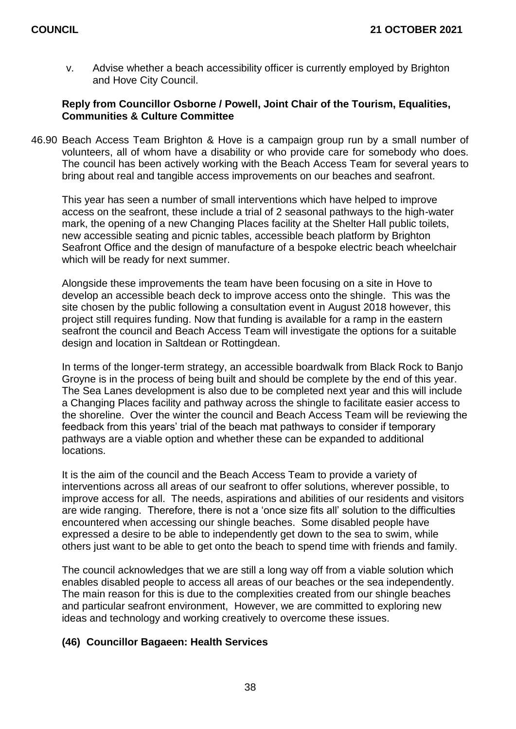v. Advise whether a beach accessibility officer is currently employed by Brighton and Hove City Council.

# **Reply from Councillor Osborne / Powell, Joint Chair of the Tourism, Equalities, Communities & Culture Committee**

46.90 Beach Access Team Brighton & Hove is a campaign group run by a small number of volunteers, all of whom have a disability or who provide care for somebody who does. The council has been actively working with the Beach Access Team for several years to bring about real and tangible access improvements on our beaches and seafront.

This year has seen a number of small interventions which have helped to improve access on the seafront, these include a trial of 2 seasonal pathways to the high-water mark, the opening of a new Changing Places facility at the Shelter Hall public toilets, new accessible seating and picnic tables, accessible beach platform by Brighton Seafront Office and the design of manufacture of a bespoke electric beach wheelchair which will be ready for next summer.

Alongside these improvements the team have been focusing on a site in Hove to develop an accessible beach deck to improve access onto the shingle. This was the site chosen by the public following a consultation event in August 2018 however, this project still requires funding. Now that funding is available for a ramp in the eastern seafront the council and Beach Access Team will investigate the options for a suitable design and location in Saltdean or Rottingdean.

In terms of the longer-term strategy, an accessible boardwalk from Black Rock to Banjo Groyne is in the process of being built and should be complete by the end of this year. The Sea Lanes development is also due to be completed next year and this will include a Changing Places facility and pathway across the shingle to facilitate easier access to the shoreline. Over the winter the council and Beach Access Team will be reviewing the feedback from this years' trial of the beach mat pathways to consider if temporary pathways are a viable option and whether these can be expanded to additional locations.

It is the aim of the council and the Beach Access Team to provide a variety of interventions across all areas of our seafront to offer solutions, wherever possible, to improve access for all. The needs, aspirations and abilities of our residents and visitors are wide ranging. Therefore, there is not a 'once size fits all' solution to the difficulties encountered when accessing our shingle beaches. Some disabled people have expressed a desire to be able to independently get down to the sea to swim, while others just want to be able to get onto the beach to spend time with friends and family.

The council acknowledges that we are still a long way off from a viable solution which enables disabled people to access all areas of our beaches or the sea independently. The main reason for this is due to the complexities created from our shingle beaches and particular seafront environment, However, we are committed to exploring new ideas and technology and working creatively to overcome these issues.

# **(46) Councillor Bagaeen: Health Services**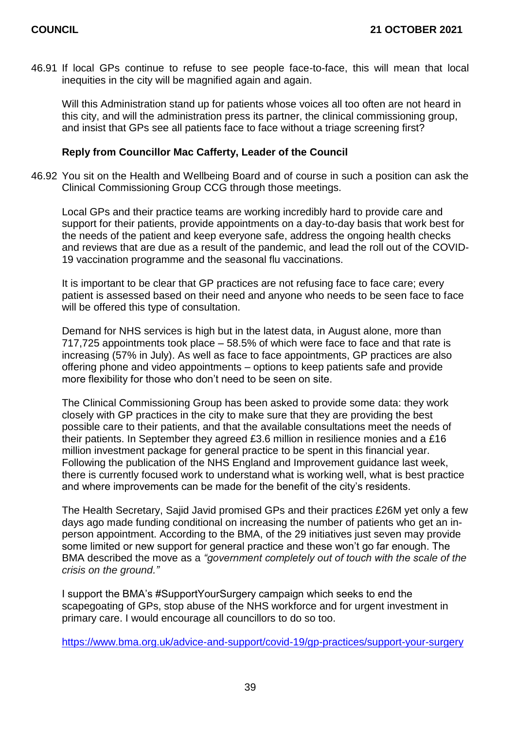46.91 If local GPs continue to refuse to see people face-to-face, this will mean that local inequities in the city will be magnified again and again.

Will this Administration stand up for patients whose voices all too often are not heard in this city, and will the administration press its partner, the clinical commissioning group, and insist that GPs see all patients face to face without a triage screening first?

## **Reply from Councillor Mac Cafferty, Leader of the Council**

46.92 You sit on the Health and Wellbeing Board and of course in such a position can ask the Clinical Commissioning Group CCG through those meetings.

Local GPs and their practice teams are working incredibly hard to provide care and support for their patients, provide appointments on a day-to-day basis that work best for the needs of the patient and keep everyone safe, address the ongoing health checks and reviews that are due as a result of the pandemic, and lead the roll out of the COVID-19 vaccination programme and the seasonal flu vaccinations.

It is important to be clear that GP practices are not refusing face to face care; every patient is assessed based on their need and anyone who needs to be seen face to face will be offered this type of consultation.

Demand for NHS services is high but in the latest data, in August alone, more than 717,725 appointments took place – 58.5% of which were face to face and that rate is increasing (57% in July). As well as face to face appointments, GP practices are also offering phone and video appointments – options to keep patients safe and provide more flexibility for those who don't need to be seen on site.

The Clinical Commissioning Group has been asked to provide some data: they work closely with GP practices in the city to make sure that they are providing the best possible care to their patients, and that the available consultations meet the needs of their patients. In September they agreed £3.6 million in resilience monies and a £16 million investment package for general practice to be spent in this financial year. Following the publication of the NHS England and Improvement guidance last week, there is currently focused work to understand what is working well, what is best practice and where improvements can be made for the benefit of the city's residents.

The Health Secretary, Sajid Javid promised GPs and their practices £26M yet only a few days ago made funding conditional on increasing the number of patients who get an inperson appointment. According to the BMA, of the 29 initiatives just seven may provide some limited or new support for general practice and these won't go far enough. The BMA described the move as a *"government completely out of touch with the scale of the crisis on the ground."*

I support the BMA's #SupportYourSurgery campaign which seeks to end the scapegoating of GPs, stop abuse of the NHS workforce and for urgent investment in primary care. I would encourage all councillors to do so too.

<https://www.bma.org.uk/advice-and-support/covid-19/gp-practices/support-your-surgery>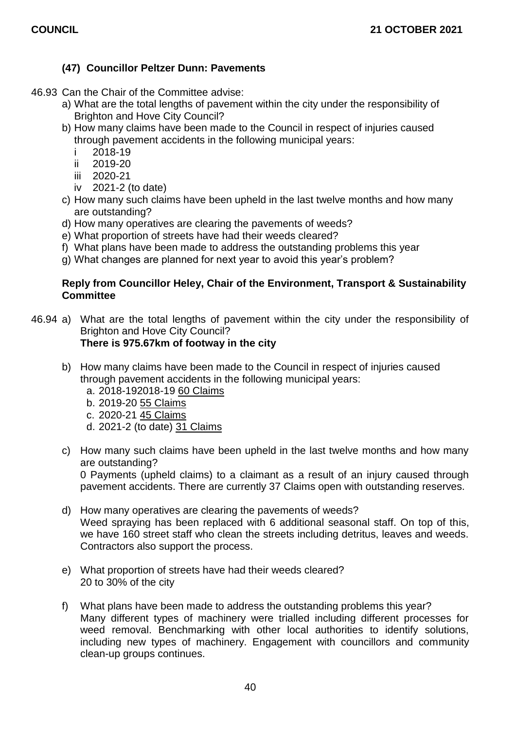# **(47) Councillor Peltzer Dunn: Pavements**

- 46.93 Can the Chair of the Committee advise:
	- a) What are the total lengths of pavement within the city under the responsibility of Brighton and Hove City Council?
	- b) How many claims have been made to the Council in respect of injuries caused through pavement accidents in the following municipal years:
		- i 2018-19
		- ii 2019-20
		- iii 2020-21
		- iv 2021-2 (to date)
	- c) How many such claims have been upheld in the last twelve months and how many are outstanding?
	- d) How many operatives are clearing the pavements of weeds?
	- e) What proportion of streets have had their weeds cleared?
	- f) What plans have been made to address the outstanding problems this year
	- g) What changes are planned for next year to avoid this year's problem?

# **Reply from Councillor Heley, Chair of the Environment, Transport & Sustainability Committee**

- 46.94 a) What are the total lengths of pavement within the city under the responsibility of Brighton and Hove City Council? **There is 975.67km of footway in the city**
	- b) How many claims have been made to the Council in respect of injuries caused through pavement accidents in the following municipal years:
		- a. 2018-192018-19 60 Claims
		- b. 2019-20 55 Claims
		- c. 2020-21 45 Claims
		- d. 2021-2 (to date) 31 Claims
	- c) How many such claims have been upheld in the last twelve months and how many are outstanding?

0 Payments (upheld claims) to a claimant as a result of an injury caused through pavement accidents. There are currently 37 Claims open with outstanding reserves.

- d) How many operatives are clearing the pavements of weeds? Weed spraying has been replaced with 6 additional seasonal staff. On top of this, we have 160 street staff who clean the streets including detritus, leaves and weeds. Contractors also support the process.
- e) What proportion of streets have had their weeds cleared? 20 to 30% of the city
- f) What plans have been made to address the outstanding problems this year? Many different types of machinery were trialled including different processes for weed removal. Benchmarking with other local authorities to identify solutions, including new types of machinery. Engagement with councillors and community clean-up groups continues.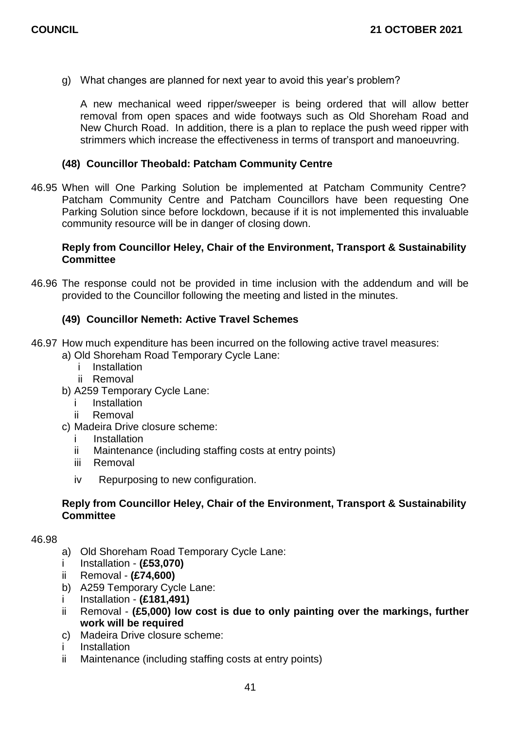g) What changes are planned for next year to avoid this year's problem?

A new mechanical weed ripper/sweeper is being ordered that will allow better removal from open spaces and wide footways such as Old Shoreham Road and New Church Road. In addition, there is a plan to replace the push weed ripper with strimmers which increase the effectiveness in terms of transport and manoeuvring.

# **(48) Councillor Theobald: Patcham Community Centre**

46.95 When will One Parking Solution be implemented at Patcham Community Centre? Patcham Community Centre and Patcham Councillors have been requesting One Parking Solution since before lockdown, because if it is not implemented this invaluable community resource will be in danger of closing down.

# **Reply from Councillor Heley, Chair of the Environment, Transport & Sustainability Committee**

46.96 The response could not be provided in time inclusion with the addendum and will be provided to the Councillor following the meeting and listed in the minutes.

# **(49) Councillor Nemeth: Active Travel Schemes**

- 46.97 How much expenditure has been incurred on the following active travel measures:
	- a) Old Shoreham Road Temporary Cycle Lane:
		- i Installation
		- ii Removal
	- b) A259 Temporary Cycle Lane:
		- **Installation**
		- ii Removal
	- c) Madeira Drive closure scheme:
		- **Installation**
		- ii Maintenance (including staffing costs at entry points)
		- iii Removal
		- iv Repurposing to new configuration.

# **Reply from Councillor Heley, Chair of the Environment, Transport & Sustainability Committee**

#### 46.98

- a) Old Shoreham Road Temporary Cycle Lane:
- i Installation **(£53,070)**
- ii Removal **(£74,600)**
- b) A259 Temporary Cycle Lane:
- i Installation **(£181,491)**
- ii Removal **(£5,000) low cost is due to only painting over the markings, further work will be required**
- c) Madeira Drive closure scheme:
- i Installation
- ii Maintenance (including staffing costs at entry points)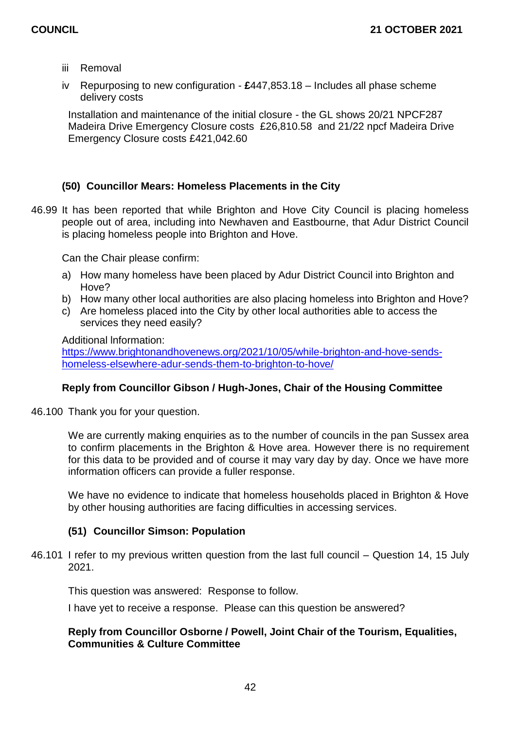- iii Removal
- iv Repurposing to new configuration **£**447,853.18 Includes all phase scheme delivery costs

Installation and maintenance of the initial closure - the GL shows 20/21 NPCF287 Madeira Drive Emergency Closure costs £26,810.58 and 21/22 npcf Madeira Drive Emergency Closure costs £421,042.60

# **(50) Councillor Mears: Homeless Placements in the City**

46.99 It has been reported that while Brighton and Hove City Council is placing homeless people out of area, including into Newhaven and Eastbourne, that Adur District Council is placing homeless people into Brighton and Hove.

Can the Chair please confirm:

- a) How many homeless have been placed by Adur District Council into Brighton and Hove?
- b) How many other local authorities are also placing homeless into Brighton and Hove?
- c) Are homeless placed into the City by other local authorities able to access the services they need easily?

Additional lnformation:

[https://www.brightonandhovenews.org/2021/10/05/while-brighton-and-hove-sends](https://www.brightonandhovenews.org/2021/10/05/while-brighton-and-hove-sends-homeless-elsewhere-adur-sends-them-to-brighton-to-hove/)[homeless-elsewhere-adur-sends-them-to-brighton-to-hove/](https://www.brightonandhovenews.org/2021/10/05/while-brighton-and-hove-sends-homeless-elsewhere-adur-sends-them-to-brighton-to-hove/)

# **Reply from Councillor Gibson / Hugh-Jones, Chair of the Housing Committee**

46.100 Thank you for your question.

We are currently making enquiries as to the number of councils in the pan Sussex area to confirm placements in the Brighton & Hove area. However there is no requirement for this data to be provided and of course it may vary day by day. Once we have more information officers can provide a fuller response.

We have no evidence to indicate that homeless households placed in Brighton & Hove by other housing authorities are facing difficulties in accessing services.

# **(51) Councillor Simson: Population**

46.101 I refer to my previous written question from the last full council – Question 14, 15 July 2021.

This question was answered: Response to follow.

I have yet to receive a response. Please can this question be answered?

# **Reply from Councillor Osborne / Powell, Joint Chair of the Tourism, Equalities, Communities & Culture Committee**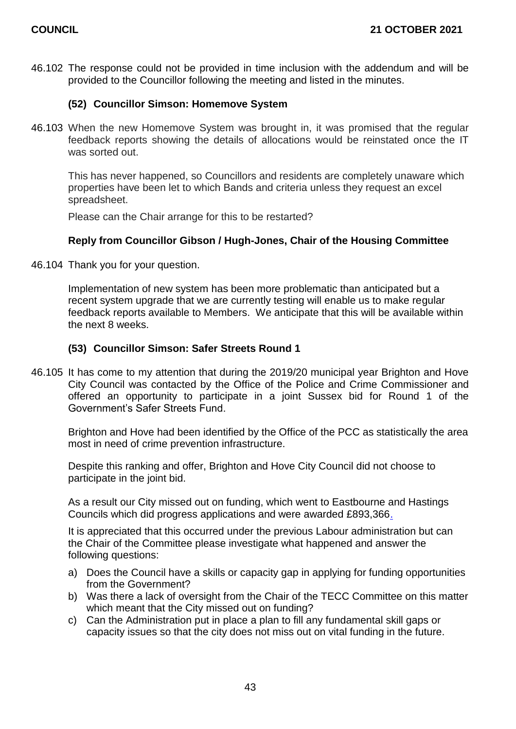46.102 The response could not be provided in time inclusion with the addendum and will be provided to the Councillor following the meeting and listed in the minutes.

# **(52) Councillor Simson: Homemove System**

46.103 When the new Homemove System was brought in, it was promised that the regular feedback reports showing the details of allocations would be reinstated once the IT was sorted out.

This has never happened, so Councillors and residents are completely unaware which properties have been let to which Bands and criteria unless they request an excel spreadsheet.

Please can the Chair arrange for this to be restarted?

# **Reply from Councillor Gibson / Hugh-Jones, Chair of the Housing Committee**

46.104 Thank you for your question.

Implementation of new system has been more problematic than anticipated but a recent system upgrade that we are currently testing will enable us to make regular feedback reports available to Members. We anticipate that this will be available within the next 8 weeks.

# **(53) Councillor Simson: Safer Streets Round 1**

46.105 It has come to my attention that during the 2019/20 municipal year Brighton and Hove City Council was contacted by the Office of the Police and Crime Commissioner and offered an opportunity to participate in a joint Sussex bid for Round 1 of the Government's Safer Streets Fund.

Brighton and Hove had been identified by the Office of the PCC as statistically the area most in need of crime prevention infrastructure.

Despite this ranking and offer, Brighton and Hove City Council did not choose to participate in the joint bid.

As a result our City missed out on funding, which went to Eastbourne and Hastings Councils which did progress applications and were awarded £893,366.

It is appreciated that this occurred under the previous Labour administration but can the Chair of the Committee please investigate what happened and answer the following questions:

- a) Does the Council have a skills or capacity gap in applying for funding opportunities from the Government?
- b) Was there a lack of oversight from the Chair of the TECC Committee on this matter which meant that the City missed out on funding?
- c) Can the Administration put in place a plan to fill any fundamental skill gaps or capacity issues so that the city does not miss out on vital funding in the future.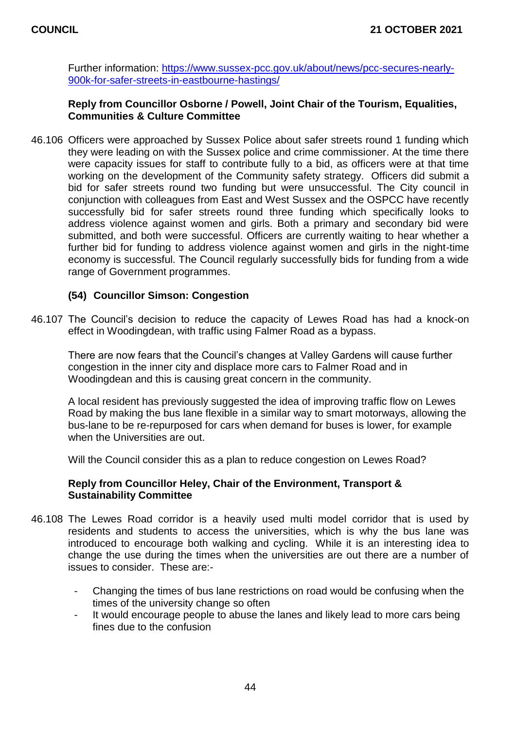Further information: [https://www.sussex-pcc.gov.uk/about/news/pcc-secures-nearly-](https://www.sussex-pcc.gov.uk/about/news/pcc-secures-nearly-900k-for-safer-streets-in-eastbourne-hastings/)[900k-for-safer-streets-in-eastbourne-hastings/](https://www.sussex-pcc.gov.uk/about/news/pcc-secures-nearly-900k-for-safer-streets-in-eastbourne-hastings/)

## **Reply from Councillor Osborne / Powell, Joint Chair of the Tourism, Equalities, Communities & Culture Committee**

46.106 Officers were approached by Sussex Police about safer streets round 1 funding which they were leading on with the Sussex police and crime commissioner. At the time there were capacity issues for staff to contribute fully to a bid, as officers were at that time working on the development of the Community safety strategy. Officers did submit a bid for safer streets round two funding but were unsuccessful. The City council in conjunction with colleagues from East and West Sussex and the OSPCC have recently successfully bid for safer streets round three funding which specifically looks to address violence against women and girls. Both a primary and secondary bid were submitted, and both were successful. Officers are currently waiting to hear whether a further bid for funding to address violence against women and girls in the night-time economy is successful. The Council regularly successfully bids for funding from a wide range of Government programmes.

# **(54) Councillor Simson: Congestion**

46.107 The Council's decision to reduce the capacity of Lewes Road has had a knock-on effect in Woodingdean, with traffic using Falmer Road as a bypass.

There are now fears that the Council's changes at Valley Gardens will cause further congestion in the inner city and displace more cars to Falmer Road and in Woodingdean and this is causing great concern in the community.

A local resident has previously suggested the idea of improving traffic flow on Lewes Road by making the bus lane flexible in a similar way to smart motorways, allowing the bus-lane to be re-repurposed for cars when demand for buses is lower, for example when the Universities are out.

Will the Council consider this as a plan to reduce congestion on Lewes Road?

# **Reply from Councillor Heley, Chair of the Environment, Transport & Sustainability Committee**

- 46.108 The Lewes Road corridor is a heavily used multi model corridor that is used by residents and students to access the universities, which is why the bus lane was introduced to encourage both walking and cycling. While it is an interesting idea to change the use during the times when the universities are out there are a number of issues to consider. These are:-
	- Changing the times of bus lane restrictions on road would be confusing when the times of the university change so often
	- It would encourage people to abuse the lanes and likely lead to more cars being fines due to the confusion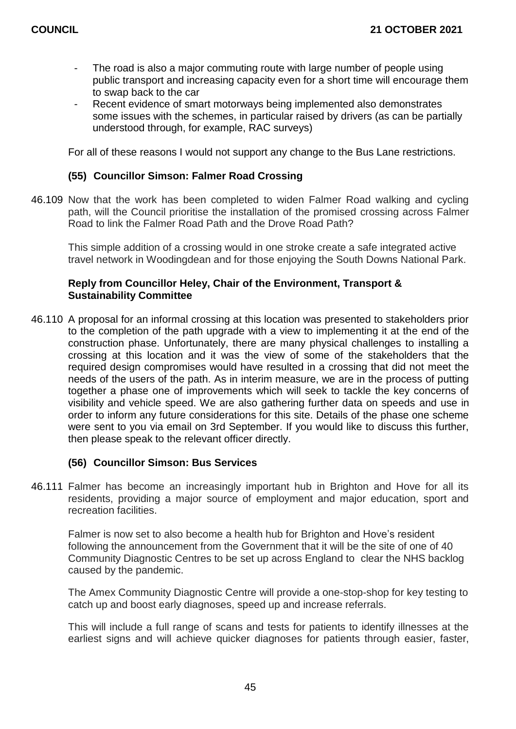- The road is also a major commuting route with large number of people using public transport and increasing capacity even for a short time will encourage them to swap back to the car
- Recent evidence of smart motorways being implemented also demonstrates some issues with the schemes, in particular raised by drivers (as can be partially understood through, for example, RAC surveys)

For all of these reasons I would not support any change to the Bus Lane restrictions.

## **(55) Councillor Simson: Falmer Road Crossing**

46.109 Now that the work has been completed to widen Falmer Road walking and cycling path, will the Council prioritise the installation of the promised crossing across Falmer Road to link the Falmer Road Path and the Drove Road Path?

This simple addition of a crossing would in one stroke create a safe integrated active travel network in Woodingdean and for those enjoying the South Downs National Park.

# **Reply from Councillor Heley, Chair of the Environment, Transport & Sustainability Committee**

46.110 A proposal for an informal crossing at this location was presented to stakeholders prior to the completion of the path upgrade with a view to implementing it at the end of the construction phase. Unfortunately, there are many physical challenges to installing a crossing at this location and it was the view of some of the stakeholders that the required design compromises would have resulted in a crossing that did not meet the needs of the users of the path. As in interim measure, we are in the process of putting together a phase one of improvements which will seek to tackle the key concerns of visibility and vehicle speed. We are also gathering further data on speeds and use in order to inform any future considerations for this site. Details of the phase one scheme were sent to you via email on 3rd September. If you would like to discuss this further, then please speak to the relevant officer directly.

#### **(56) Councillor Simson: Bus Services**

46.111 Falmer has become an increasingly important hub in Brighton and Hove for all its residents, providing a major source of employment and major education, sport and recreation facilities.

Falmer is now set to also become a health hub for Brighton and Hove's resident following the announcement from the Government that it will be the site of one of 40 Community Diagnostic Centres to be set up across England to clear the NHS backlog caused by the pandemic.

The Amex Community Diagnostic Centre will provide a one-stop-shop for key testing to catch up and boost early diagnoses, speed up and increase referrals.

This will include a full range of scans and tests for patients to identify illnesses at the earliest signs and will achieve quicker diagnoses for patients through easier, faster,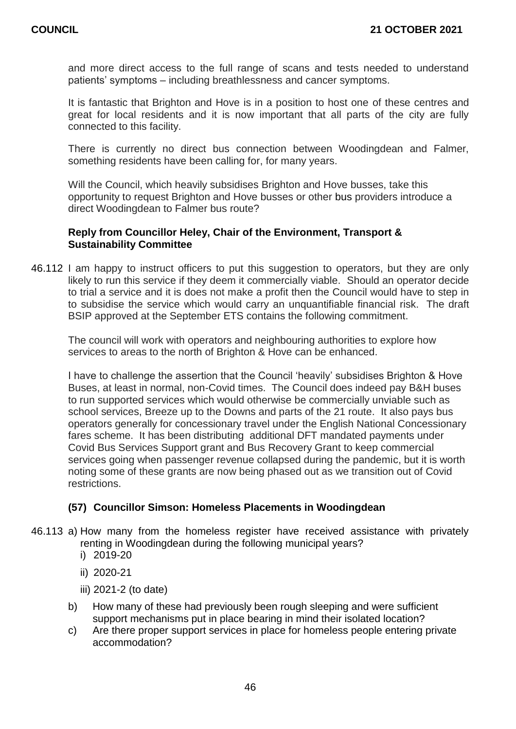and more direct access to the full range of scans and tests needed to understand patients' symptoms – including breathlessness and cancer symptoms.

It is fantastic that Brighton and Hove is in a position to host one of these centres and great for local residents and it is now important that all parts of the city are fully connected to this facility.

There is currently no direct bus connection between Woodingdean and Falmer, something residents have been calling for, for many years.

Will the Council, which heavily subsidises Brighton and Hove busses, take this opportunity to request Brighton and Hove busses or other bus providers introduce a direct Woodingdean to Falmer bus route?

## **Reply from Councillor Heley, Chair of the Environment, Transport & Sustainability Committee**

46.112 I am happy to instruct officers to put this suggestion to operators, but they are only likely to run this service if they deem it commercially viable. Should an operator decide to trial a service and it is does not make a profit then the Council would have to step in to subsidise the service which would carry an unquantifiable financial risk. The draft BSIP approved at the September ETS contains the following commitment.

The council will work with operators and neighbouring authorities to explore how services to areas to the north of Brighton & Hove can be enhanced.

I have to challenge the assertion that the Council 'heavily' subsidises Brighton & Hove Buses, at least in normal, non-Covid times. The Council does indeed pay B&H buses to run supported services which would otherwise be commercially unviable such as school services, Breeze up to the Downs and parts of the 21 route. It also pays bus operators generally for concessionary travel under the English National Concessionary fares scheme. It has been distributing additional DFT mandated payments under Covid Bus Services Support grant and Bus Recovery Grant to keep commercial services going when passenger revenue collapsed during the pandemic, but it is worth noting some of these grants are now being phased out as we transition out of Covid restrictions.

# **(57) Councillor Simson: Homeless Placements in Woodingdean**

- 46.113 a) How many from the homeless register have received assistance with privately renting in Woodingdean during the following municipal years?
	- i) 2019-20
	- ii) 2020-21
	- iii) 2021-2 (to date)
	- b) How many of these had previously been rough sleeping and were sufficient support mechanisms put in place bearing in mind their isolated location?
	- c) Are there proper support services in place for homeless people entering private accommodation?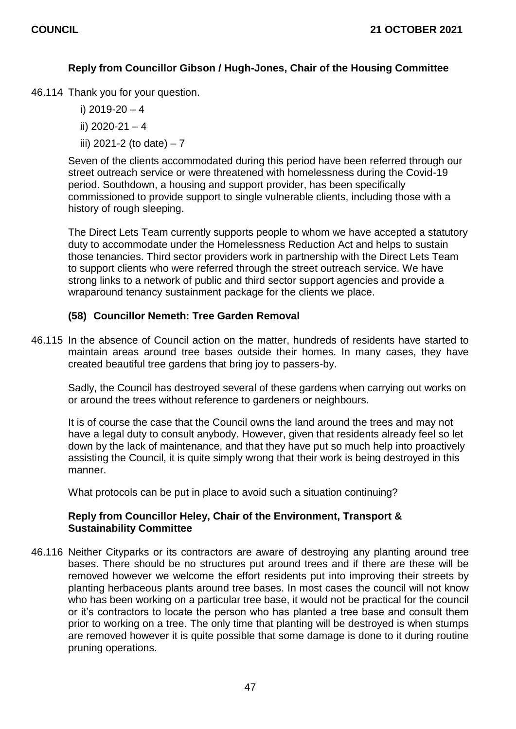# **Reply from Councillor Gibson / Hugh-Jones, Chair of the Housing Committee**

46.114 Thank you for your question.

- i) 2019-20 4
- ii)  $2020 21 4$
- iii) 2021-2 (to date)  $-7$

Seven of the clients accommodated during this period have been referred through our street outreach service or were threatened with homelessness during the Covid-19 period. Southdown, a housing and support provider, has been specifically commissioned to provide support to single vulnerable clients, including those with a history of rough sleeping.

The Direct Lets Team currently supports people to whom we have accepted a statutory duty to accommodate under the Homelessness Reduction Act and helps to sustain those tenancies. Third sector providers work in partnership with the Direct Lets Team to support clients who were referred through the street outreach service. We have strong links to a network of public and third sector support agencies and provide a wraparound tenancy sustainment package for the clients we place.

# **(58) Councillor Nemeth: Tree Garden Removal**

46.115 In the absence of Council action on the matter, hundreds of residents have started to maintain areas around tree bases outside their homes. In many cases, they have created beautiful tree gardens that bring joy to passers-by.

Sadly, the Council has destroyed several of these gardens when carrying out works on or around the trees without reference to gardeners or neighbours.

It is of course the case that the Council owns the land around the trees and may not have a legal duty to consult anybody. However, given that residents already feel so let down by the lack of maintenance, and that they have put so much help into proactively assisting the Council, it is quite simply wrong that their work is being destroyed in this manner.

What protocols can be put in place to avoid such a situation continuing?

# **Reply from Councillor Heley, Chair of the Environment, Transport & Sustainability Committee**

46.116 Neither Cityparks or its contractors are aware of destroying any planting around tree bases. There should be no structures put around trees and if there are these will be removed however we welcome the effort residents put into improving their streets by planting herbaceous plants around tree bases. In most cases the council will not know who has been working on a particular tree base, it would not be practical for the council or it's contractors to locate the person who has planted a tree base and consult them prior to working on a tree. The only time that planting will be destroyed is when stumps are removed however it is quite possible that some damage is done to it during routine pruning operations.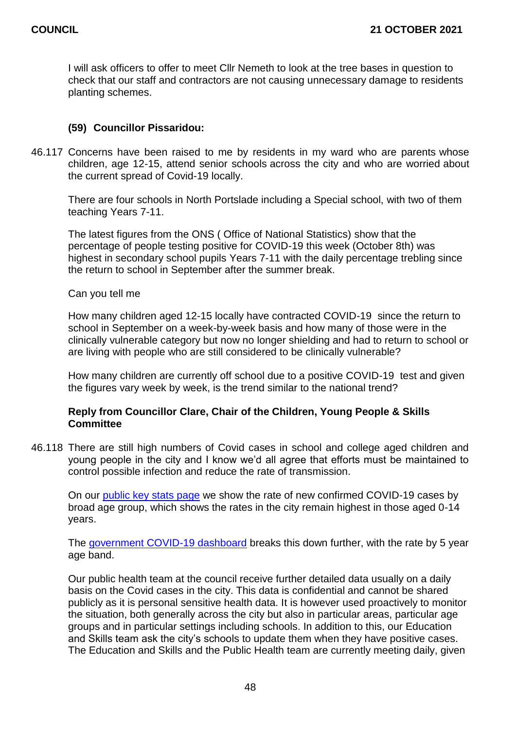I will ask officers to offer to meet Cllr Nemeth to look at the tree bases in question to check that our staff and contractors are not causing unnecessary damage to residents planting schemes.

# **(59) Councillor Pissaridou:**

46.117 Concerns have been raised to me by residents in my ward who are parents whose children, age 12-15, attend senior schools across the city and who are worried about the current spread of Covid-19 locally.

There are four schools in North Portslade including a Special school, with two of them teaching Years 7-11.

The latest figures from the ONS ( Office of National Statistics) show that the percentage of people testing positive for COVID-19 this week (October 8th) was highest in secondary school pupils Years 7-11 with the daily percentage trebling since the return to school in September after the summer break.

Can you tell me

How many children aged 12-15 locally have contracted COVID-19 since the return to school in September on a week-by-week basis and how many of those were in the clinically vulnerable category but now no longer shielding and had to return to school or are living with people who are still considered to be clinically vulnerable?

How many children are currently off school due to a positive COVID-19 test and given the figures vary week by week, is the trend similar to the national trend?

# **Reply from Councillor Clare, Chair of the Children, Young People & Skills Committee**

46.118 There are still high numbers of Covid cases in school and college aged children and young people in the city and I know we'd all agree that efforts must be maintained to control possible infection and reduce the rate of transmission.

On our [public key stats page](https://www.brighton-hove.gov.uk/covid-19-key-statistics-brighton-hove/confirmed-case-rates-trend-age) we show the rate of new confirmed COVID-19 cases by broad age group, which shows the rates in the city remain highest in those aged 0-14 years.

The [government COVID-19 dashboard](https://coronavirus.data.gov.uk/details/cases?areaType=ltla&areaName=Brighton%20and%20Hove) breaks this down further, with the rate by 5 year age band.

Our public health team at the council receive further detailed data usually on a daily basis on the Covid cases in the city. This data is confidential and cannot be shared publicly as it is personal sensitive health data. It is however used proactively to monitor the situation, both generally across the city but also in particular areas, particular age groups and in particular settings including schools. In addition to this, our Education and Skills team ask the city's schools to update them when they have positive cases. The Education and Skills and the Public Health team are currently meeting daily, given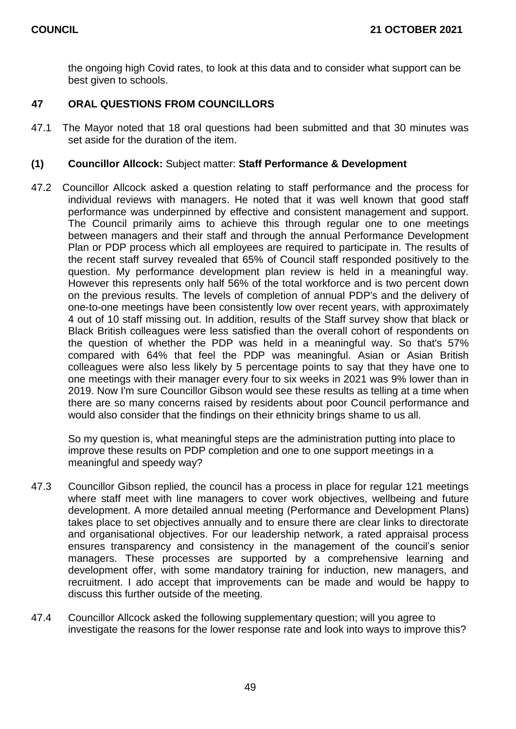the ongoing high Covid rates, to look at this data and to consider what support can be best given to schools.

# **47 ORAL QUESTIONS FROM COUNCILLORS**

47.1 The Mayor noted that 18 oral questions had been submitted and that 30 minutes was set aside for the duration of the item.

## **(1) Councillor Allcock:** Subject matter: **Staff Performance & Development**

47.2 Councillor Allcock asked a question relating to staff performance and the process for individual reviews with managers. He noted that it was well known that good staff performance was underpinned by effective and consistent management and support. The Council primarily aims to achieve this through regular one to one meetings between managers and their staff and through the annual Performance Development Plan or PDP process which all employees are required to participate in. The results of the recent staff survey revealed that 65% of Council staff responded positively to the question. My performance development plan review is held in a meaningful way. However this represents only half 56% of the total workforce and is two percent down on the previous results. The levels of completion of annual PDP's and the delivery of one-to-one meetings have been consistently low over recent years, with approximately 4 out of 10 staff missing out. In addition, results of the Staff survey show that black or Black British colleagues were less satisfied than the overall cohort of respondents on the question of whether the PDP was held in a meaningful way. So that's 57% compared with 64% that feel the PDP was meaningful. Asian or Asian British colleagues were also less likely by 5 percentage points to say that they have one to one meetings with their manager every four to six weeks in 2021 was 9% lower than in 2019. Now I'm sure Councillor Gibson would see these results as telling at a time when there are so many concerns raised by residents about poor Council performance and would also consider that the findings on their ethnicity brings shame to us all.

So my question is, what meaningful steps are the administration putting into place to improve these results on PDP completion and one to one support meetings in a meaningful and speedy way?

- 47.3 Councillor Gibson replied, the council has a process in place for regular 121 meetings where staff meet with line managers to cover work objectives, wellbeing and future development. A more detailed annual meeting (Performance and Development Plans) takes place to set objectives annually and to ensure there are clear links to directorate and organisational objectives. For our leadership network, a rated appraisal process ensures transparency and consistency in the management of the council's senior managers. These processes are supported by a comprehensive learning and development offer, with some mandatory training for induction, new managers, and recruitment. I ado accept that improvements can be made and would be happy to discuss this further outside of the meeting.
- 47.4 Councillor Allcock asked the following supplementary question; will you agree to investigate the reasons for the lower response rate and look into ways to improve this?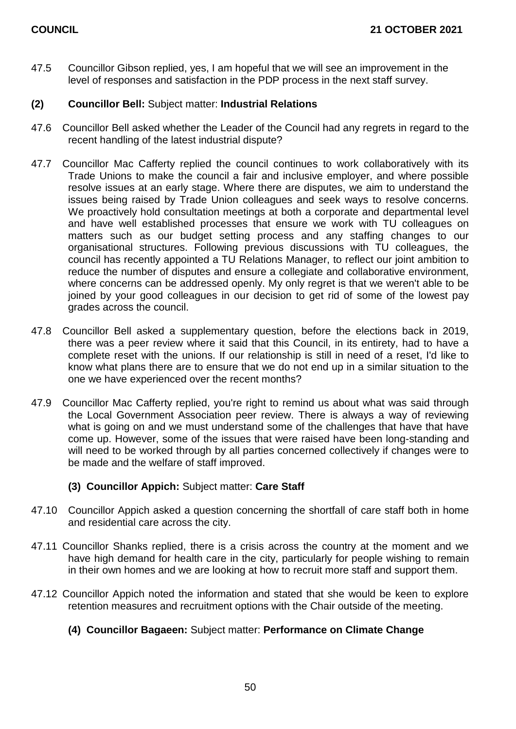47.5 Councillor Gibson replied, yes, I am hopeful that we will see an improvement in the level of responses and satisfaction in the PDP process in the next staff survey.

# **(2) Councillor Bell:** Subject matter: **Industrial Relations**

- 47.6 Councillor Bell asked whether the Leader of the Council had any regrets in regard to the recent handling of the latest industrial dispute?
- 47.7 Councillor Mac Cafferty replied the council continues to work collaboratively with its Trade Unions to make the council a fair and inclusive employer, and where possible resolve issues at an early stage. Where there are disputes, we aim to understand the issues being raised by Trade Union colleagues and seek ways to resolve concerns. We proactively hold consultation meetings at both a corporate and departmental level and have well established processes that ensure we work with TU colleagues on matters such as our budget setting process and any staffing changes to our organisational structures. Following previous discussions with TU colleagues, the council has recently appointed a TU Relations Manager, to reflect our joint ambition to reduce the number of disputes and ensure a collegiate and collaborative environment, where concerns can be addressed openly. My only regret is that we weren't able to be joined by your good colleagues in our decision to get rid of some of the lowest pay grades across the council.
- 47.8 Councillor Bell asked a supplementary question, before the elections back in 2019, there was a peer review where it said that this Council, in its entirety, had to have a complete reset with the unions. If our relationship is still in need of a reset, I'd like to know what plans there are to ensure that we do not end up in a similar situation to the one we have experienced over the recent months?
- 47.9 Councillor Mac Cafferty replied, you're right to remind us about what was said through the Local Government Association peer review. There is always a way of reviewing what is going on and we must understand some of the challenges that have that have come up. However, some of the issues that were raised have been long-standing and will need to be worked through by all parties concerned collectively if changes were to be made and the welfare of staff improved.

# **(3) Councillor Appich:** Subject matter: **Care Staff**

- 47.10 Councillor Appich asked a question concerning the shortfall of care staff both in home and residential care across the city.
- 47.11 Councillor Shanks replied, there is a crisis across the country at the moment and we have high demand for health care in the city, particularly for people wishing to remain in their own homes and we are looking at how to recruit more staff and support them.
- 47.12 Councillor Appich noted the information and stated that she would be keen to explore retention measures and recruitment options with the Chair outside of the meeting.

# **(4) Councillor Bagaeen:** Subject matter: **Performance on Climate Change**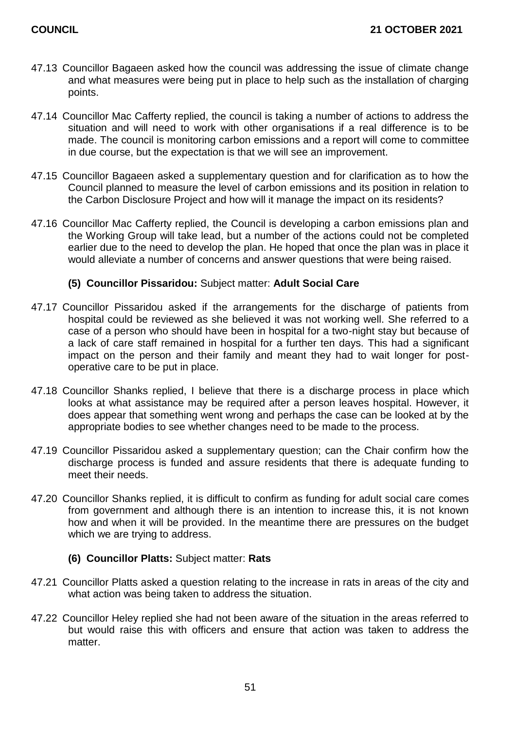- 47.13 Councillor Bagaeen asked how the council was addressing the issue of climate change and what measures were being put in place to help such as the installation of charging points.
- 47.14 Councillor Mac Cafferty replied, the council is taking a number of actions to address the situation and will need to work with other organisations if a real difference is to be made. The council is monitoring carbon emissions and a report will come to committee in due course, but the expectation is that we will see an improvement.
- 47.15 Councillor Bagaeen asked a supplementary question and for clarification as to how the Council planned to measure the level of carbon emissions and its position in relation to the Carbon Disclosure Project and how will it manage the impact on its residents?
- 47.16 Councillor Mac Cafferty replied, the Council is developing a carbon emissions plan and the Working Group will take lead, but a number of the actions could not be completed earlier due to the need to develop the plan. He hoped that once the plan was in place it would alleviate a number of concerns and answer questions that were being raised.

# **(5) Councillor Pissaridou:** Subject matter: **Adult Social Care**

- 47.17 Councillor Pissaridou asked if the arrangements for the discharge of patients from hospital could be reviewed as she believed it was not working well. She referred to a case of a person who should have been in hospital for a two-night stay but because of a lack of care staff remained in hospital for a further ten days. This had a significant impact on the person and their family and meant they had to wait longer for postoperative care to be put in place.
- 47.18 Councillor Shanks replied, I believe that there is a discharge process in place which looks at what assistance may be required after a person leaves hospital. However, it does appear that something went wrong and perhaps the case can be looked at by the appropriate bodies to see whether changes need to be made to the process.
- 47.19 Councillor Pissaridou asked a supplementary question; can the Chair confirm how the discharge process is funded and assure residents that there is adequate funding to meet their needs.
- 47.20 Councillor Shanks replied, it is difficult to confirm as funding for adult social care comes from government and although there is an intention to increase this, it is not known how and when it will be provided. In the meantime there are pressures on the budget which we are trying to address.
	- **(6) Councillor Platts:** Subject matter: **Rats**
- 47.21 Councillor Platts asked a question relating to the increase in rats in areas of the city and what action was being taken to address the situation.
- 47.22 Councillor Heley replied she had not been aware of the situation in the areas referred to but would raise this with officers and ensure that action was taken to address the matter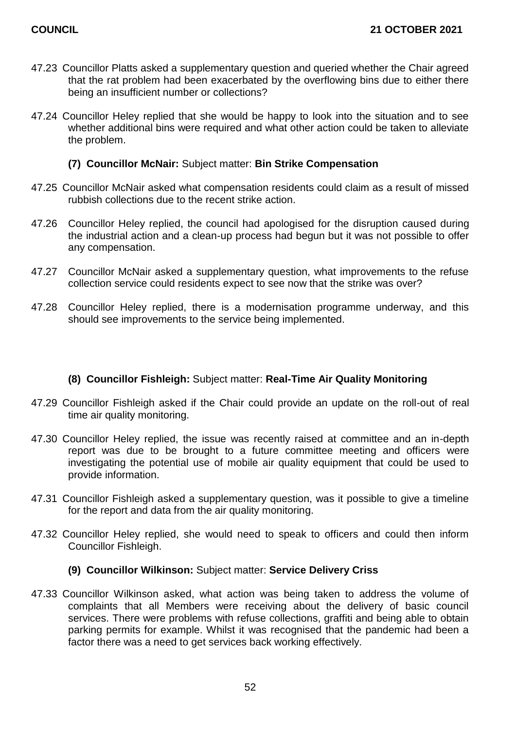- 47.23 Councillor Platts asked a supplementary question and queried whether the Chair agreed that the rat problem had been exacerbated by the overflowing bins due to either there being an insufficient number or collections?
- 47.24 Councillor Heley replied that she would be happy to look into the situation and to see whether additional bins were required and what other action could be taken to alleviate the problem.

# **(7) Councillor McNair:** Subject matter: **Bin Strike Compensation**

- 47.25 Councillor McNair asked what compensation residents could claim as a result of missed rubbish collections due to the recent strike action.
- 47.26 Councillor Heley replied, the council had apologised for the disruption caused during the industrial action and a clean-up process had begun but it was not possible to offer any compensation.
- 47.27 Councillor McNair asked a supplementary question, what improvements to the refuse collection service could residents expect to see now that the strike was over?
- 47.28 Councillor Heley replied, there is a modernisation programme underway, and this should see improvements to the service being implemented.

# **(8) Councillor Fishleigh:** Subject matter: **Real-Time Air Quality Monitoring**

- 47.29 Councillor Fishleigh asked if the Chair could provide an update on the roll-out of real time air quality monitoring.
- 47.30 Councillor Heley replied, the issue was recently raised at committee and an in-depth report was due to be brought to a future committee meeting and officers were investigating the potential use of mobile air quality equipment that could be used to provide information.
- 47.31 Councillor Fishleigh asked a supplementary question, was it possible to give a timeline for the report and data from the air quality monitoring.
- 47.32 Councillor Heley replied, she would need to speak to officers and could then inform Councillor Fishleigh.

# **(9) Councillor Wilkinson:** Subject matter: **Service Delivery Criss**

47.33 Councillor Wilkinson asked, what action was being taken to address the volume of complaints that all Members were receiving about the delivery of basic council services. There were problems with refuse collections, graffiti and being able to obtain parking permits for example. Whilst it was recognised that the pandemic had been a factor there was a need to get services back working effectively.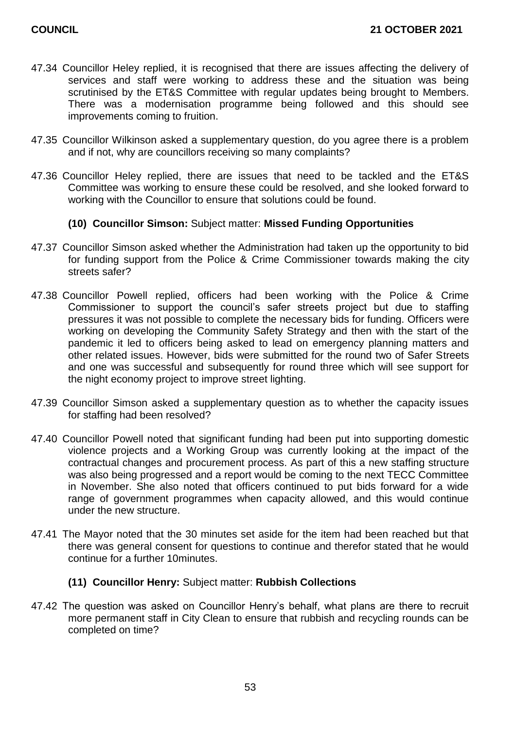- 47.34 Councillor Heley replied, it is recognised that there are issues affecting the delivery of services and staff were working to address these and the situation was being scrutinised by the ET&S Committee with regular updates being brought to Members. There was a modernisation programme being followed and this should see improvements coming to fruition.
- 47.35 Councillor Wilkinson asked a supplementary question, do you agree there is a problem and if not, why are councillors receiving so many complaints?
- 47.36 Councillor Heley replied, there are issues that need to be tackled and the ET&S Committee was working to ensure these could be resolved, and she looked forward to working with the Councillor to ensure that solutions could be found.

# **(10) Councillor Simson:** Subject matter: **Missed Funding Opportunities**

- 47.37 Councillor Simson asked whether the Administration had taken up the opportunity to bid for funding support from the Police & Crime Commissioner towards making the city streets safer?
- 47.38 Councillor Powell replied, officers had been working with the Police & Crime Commissioner to support the council's safer streets project but due to staffing pressures it was not possible to complete the necessary bids for funding. Officers were working on developing the Community Safety Strategy and then with the start of the pandemic it led to officers being asked to lead on emergency planning matters and other related issues. However, bids were submitted for the round two of Safer Streets and one was successful and subsequently for round three which will see support for the night economy project to improve street lighting.
- 47.39 Councillor Simson asked a supplementary question as to whether the capacity issues for staffing had been resolved?
- 47.40 Councillor Powell noted that significant funding had been put into supporting domestic violence projects and a Working Group was currently looking at the impact of the contractual changes and procurement process. As part of this a new staffing structure was also being progressed and a report would be coming to the next TECC Committee in November. She also noted that officers continued to put bids forward for a wide range of government programmes when capacity allowed, and this would continue under the new structure.
- 47.41 The Mayor noted that the 30 minutes set aside for the item had been reached but that there was general consent for questions to continue and therefor stated that he would continue for a further 10minutes.

# **(11) Councillor Henry:** Subject matter: **Rubbish Collections**

47.42 The question was asked on Councillor Henry's behalf, what plans are there to recruit more permanent staff in City Clean to ensure that rubbish and recycling rounds can be completed on time?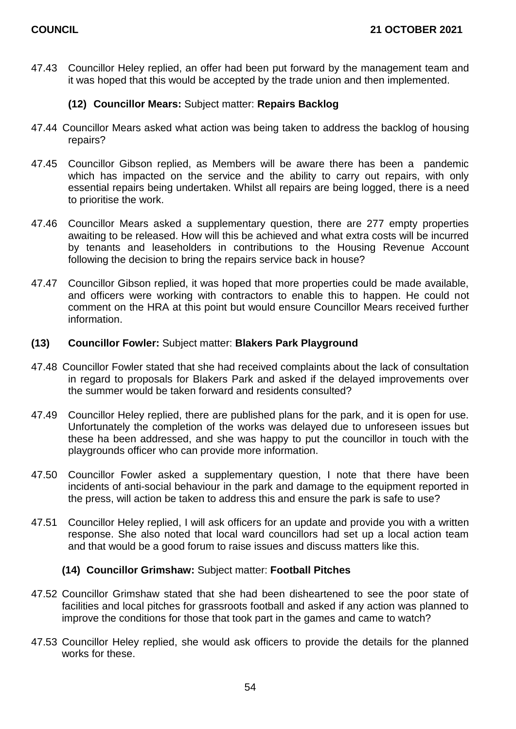47.43 Councillor Heley replied, an offer had been put forward by the management team and it was hoped that this would be accepted by the trade union and then implemented.

# **(12) Councillor Mears:** Subject matter: **Repairs Backlog**

- 47.44 Councillor Mears asked what action was being taken to address the backlog of housing repairs?
- 47.45 Councillor Gibson replied, as Members will be aware there has been a pandemic which has impacted on the service and the ability to carry out repairs, with only essential repairs being undertaken. Whilst all repairs are being logged, there is a need to prioritise the work.
- 47.46 Councillor Mears asked a supplementary question, there are 277 empty properties awaiting to be released. How will this be achieved and what extra costs will be incurred by tenants and leaseholders in contributions to the Housing Revenue Account following the decision to bring the repairs service back in house?
- 47.47 Councillor Gibson replied, it was hoped that more properties could be made available, and officers were working with contractors to enable this to happen. He could not comment on the HRA at this point but would ensure Councillor Mears received further information.

# **(13) Councillor Fowler:** Subject matter: **Blakers Park Playground**

- 47.48 Councillor Fowler stated that she had received complaints about the lack of consultation in regard to proposals for Blakers Park and asked if the delayed improvements over the summer would be taken forward and residents consulted?
- 47.49 Councillor Heley replied, there are published plans for the park, and it is open for use. Unfortunately the completion of the works was delayed due to unforeseen issues but these ha been addressed, and she was happy to put the councillor in touch with the playgrounds officer who can provide more information.
- 47.50 Councillor Fowler asked a supplementary question, I note that there have been incidents of anti-social behaviour in the park and damage to the equipment reported in the press, will action be taken to address this and ensure the park is safe to use?
- 47.51 Councillor Heley replied, I will ask officers for an update and provide you with a written response. She also noted that local ward councillors had set up a local action team and that would be a good forum to raise issues and discuss matters like this.

# **(14) Councillor Grimshaw:** Subject matter: **Football Pitches**

- 47.52 Councillor Grimshaw stated that she had been disheartened to see the poor state of facilities and local pitches for grassroots football and asked if any action was planned to improve the conditions for those that took part in the games and came to watch?
- 47.53 Councillor Heley replied, she would ask officers to provide the details for the planned works for these.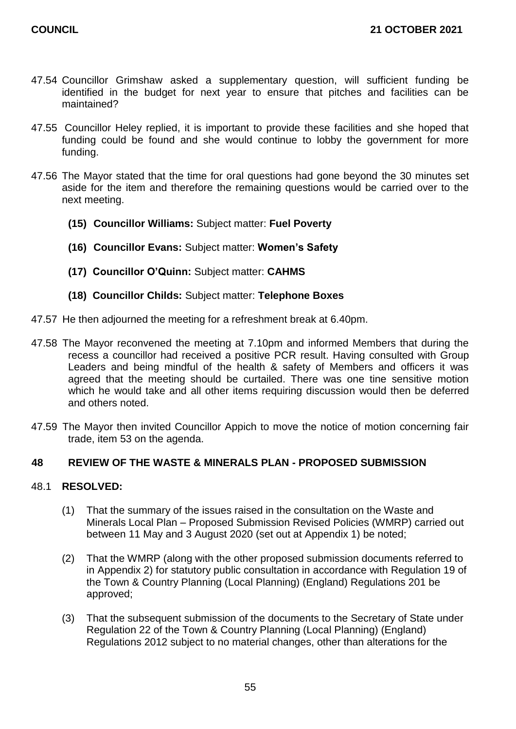- 47.54 Councillor Grimshaw asked a supplementary question, will sufficient funding be identified in the budget for next year to ensure that pitches and facilities can be maintained?
- 47.55 Councillor Heley replied, it is important to provide these facilities and she hoped that funding could be found and she would continue to lobby the government for more funding.
- 47.56 The Mayor stated that the time for oral questions had gone beyond the 30 minutes set aside for the item and therefore the remaining questions would be carried over to the next meeting.
	- **(15) Councillor Williams:** Subject matter: **Fuel Poverty**
	- **(16) Councillor Evans:** Subject matter: **Women's Safety**
	- **(17) Councillor O'Quinn:** Subject matter: **CAHMS**
	- **(18) Councillor Childs:** Subject matter: **Telephone Boxes**
- 47.57 He then adjourned the meeting for a refreshment break at 6.40pm.
- 47.58 The Mayor reconvened the meeting at 7.10pm and informed Members that during the recess a councillor had received a positive PCR result. Having consulted with Group Leaders and being mindful of the health & safety of Members and officers it was agreed that the meeting should be curtailed. There was one tine sensitive motion which he would take and all other items requiring discussion would then be deferred and others noted.
- 47.59 The Mayor then invited Councillor Appich to move the notice of motion concerning fair trade, item 53 on the agenda.

# **48 REVIEW OF THE WASTE & MINERALS PLAN - PROPOSED SUBMISSION**

# 48.1 **RESOLVED:**

- (1) That the summary of the issues raised in the consultation on the Waste and Minerals Local Plan – Proposed Submission Revised Policies (WMRP) carried out between 11 May and 3 August 2020 (set out at Appendix 1) be noted;
- (2) That the WMRP (along with the other proposed submission documents referred to in Appendix 2) for statutory public consultation in accordance with Regulation 19 of the Town & Country Planning (Local Planning) (England) Regulations 201 be approved;
- (3) That the subsequent submission of the documents to the Secretary of State under Regulation 22 of the Town & Country Planning (Local Planning) (England) Regulations 2012 subject to no material changes, other than alterations for the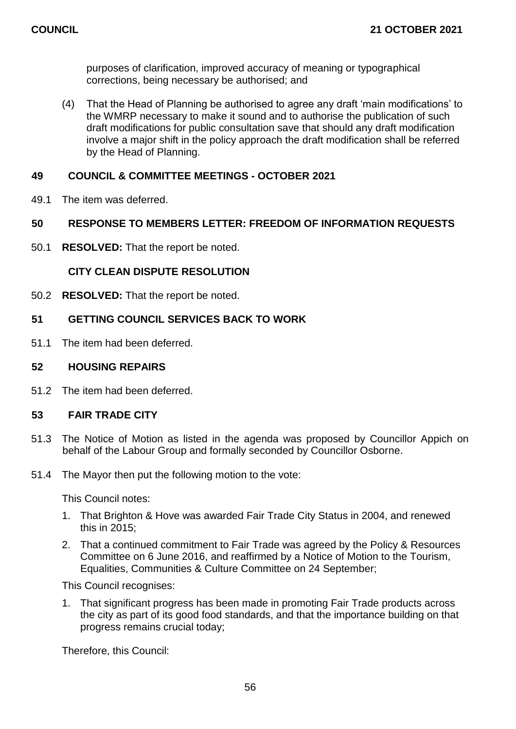purposes of clarification, improved accuracy of meaning or typographical corrections, being necessary be authorised; and

(4) That the Head of Planning be authorised to agree any draft 'main modifications' to the WMRP necessary to make it sound and to authorise the publication of such draft modifications for public consultation save that should any draft modification involve a major shift in the policy approach the draft modification shall be referred by the Head of Planning.

# **49 COUNCIL & COMMITTEE MEETINGS - OCTOBER 2021**

49.1 The item was deferred.

# **50 RESPONSE TO MEMBERS LETTER: FREEDOM OF INFORMATION REQUESTS**

50.1 **RESOLVED:** That the report be noted.

# **CITY CLEAN DISPUTE RESOLUTION**

50.2 **RESOLVED:** That the report be noted.

# **51 GETTING COUNCIL SERVICES BACK TO WORK**

51.1 The item had been deferred.

# **52 HOUSING REPAIRS**

51.2 The item had been deferred.

# **53 FAIR TRADE CITY**

- 51.3 The Notice of Motion as listed in the agenda was proposed by Councillor Appich on behalf of the Labour Group and formally seconded by Councillor Osborne.
- 51.4 The Mayor then put the following motion to the vote:

This Council notes:

- 1. That Brighton & Hove was awarded Fair Trade City Status in 2004, and renewed this in 2015;
- 2. That a continued commitment to Fair Trade was agreed by the Policy & Resources Committee on 6 June 2016, and reaffirmed by a Notice of Motion to the Tourism, Equalities, Communities & Culture Committee on 24 September;

This Council recognises:

1. That significant progress has been made in promoting Fair Trade products across the city as part of its good food standards, and that the importance building on that progress remains crucial today;

Therefore, this Council: